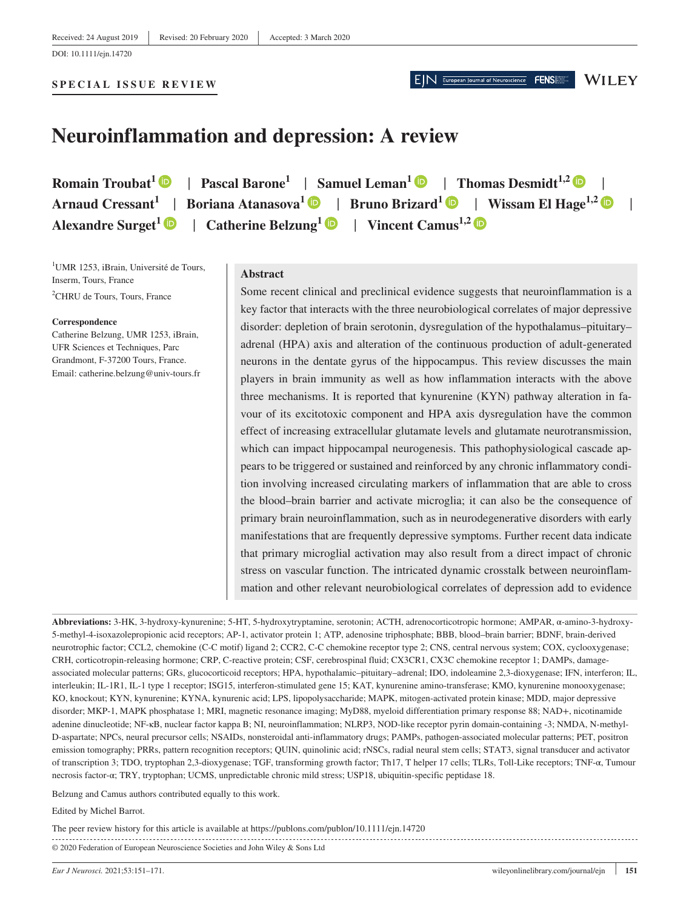DOI: 10.1111/ejn.14720

**WILEY** 

FENS

# **Neuroinflammation and depression: A review**

**Romain Troubat<sup>[1](https://orcid.org/0000-0002-9657-4222)</sup>**  $\bullet$  **[|](https://orcid.org/0000-0003-3877-0855) Pascal Barone<sup>1</sup> | Samuel Leman<sup>1</sup>**  $\bullet$  **| Thomas Desmidt<sup>1,2</sup>**  $\bullet$  **| Arnaud Cressant**<sup>1</sup> [|](https://orcid.org/0000-0002-0333-4634) Boriana Atanasova<sup>1</sup> | Bruno Brizard<sup>1</sup> | Wissam El Hage<sup>1,2</sup> | **| Alexandre Surget<sup>[1](https://orcid.org/0000-0001-6095-5974)</sup>**  $\bullet$  **| Catherine Belzung<sup>1</sup>**  $\bullet$  **| Vincent Camus<sup>1,[2](https://orcid.org/0000-0002-6845-221X)</sup>**  $\bullet$ 

<sup>1</sup>UMR 1253, iBrain, Université de Tours, Inserm, Tours, France <sup>2</sup>CHRU de Tours, Tours, France

#### **Correspondence**

Catherine Belzung, UMR 1253, iBrain, UFR Sciences et Techniques, Parc Grandmont, F-37200 Tours, France. Email: [catherine.belzung@univ-tours.fr](mailto:catherine.belzung@univ-tours.fr)

#### **Abstract**

Some recent clinical and preclinical evidence suggests that neuroinflammation is a key factor that interacts with the three neurobiological correlates of major depressive disorder: depletion of brain serotonin, dysregulation of the hypothalamus–pituitary– adrenal (HPA) axis and alteration of the continuous production of adult-generated neurons in the dentate gyrus of the hippocampus. This review discusses the main players in brain immunity as well as how inflammation interacts with the above three mechanisms. It is reported that kynurenine (KYN) pathway alteration in favour of its excitotoxic component and HPA axis dysregulation have the common effect of increasing extracellular glutamate levels and glutamate neurotransmission, which can impact hippocampal neurogenesis. This pathophysiological cascade appears to be triggered or sustained and reinforced by any chronic inflammatory condition involving increased circulating markers of inflammation that are able to cross the blood–brain barrier and activate microglia; it can also be the consequence of primary brain neuroinflammation, such as in neurodegenerative disorders with early manifestations that are frequently depressive symptoms. Further recent data indicate that primary microglial activation may also result from a direct impact of chronic stress on vascular function. The intricated dynamic crosstalk between neuroinflammation and other relevant neurobiological correlates of depression add to evidence

**Abbreviations:** 3-HK, 3-hydroxy-kynurenine; 5-HT, 5-hydroxytryptamine, serotonin; ACTH, adrenocorticotropic hormone; AMPAR, α-amino-3-hydroxy-5-methyl-4-isoxazolepropionic acid receptors; AP-1, activator protein 1; ATP, adenosine triphosphate; BBB, blood–brain barrier; BDNF, brain-derived neurotrophic factor; CCL2, chemokine (C-C motif) ligand 2; CCR2, C-C chemokine receptor type 2; CNS, central nervous system; COX, cyclooxygenase; CRH, corticotropin-releasing hormone; CRP, C-reactive protein; CSF, cerebrospinal fluid; CX3CR1, CX3C chemokine receptor 1; DAMPs, damageassociated molecular patterns; GRs, glucocorticoid receptors; HPA, hypothalamic–pituitary–adrenal; IDO, indoleamine 2,3-dioxygenase; IFN, interferon; IL, interleukin; IL-1R1, IL-1 type 1 receptor; ISG15, interferon-stimulated gene 15; KAT, kynurenine amino-transferase; KMO, kynurenine monooxygenase; KO, knockout; KYN, kynurenine; KYNA, kynurenic acid; LPS, lipopolysaccharide; MAPK, mitogen-activated protein kinase; MDD, major depressive disorder; MKP-1, MAPK phosphatase 1; MRI, magnetic resonance imaging; MyD88, myeloid differentiation primary response 88; NAD+, nicotinamide adenine dinucleotide; NF-κB, nuclear factor kappa B; NI, neuroinflammation; NLRP3, NOD-like receptor pyrin domain-containing -3; NMDA, N-methyl-D-aspartate; NPCs, neural precursor cells; NSAIDs, nonsteroidal anti-inflammatory drugs; PAMPs, pathogen-associated molecular patterns; PET, positron emission tomography; PRRs, pattern recognition receptors; QUIN, quinolinic acid; rNSCs, radial neural stem cells; STAT3, signal transducer and activator of transcription 3; TDO, tryptophan 2,3-dioxygenase; TGF, transforming growth factor; Th17, T helper 17 cells; TLRs, Toll-Like receptors; TNF-α, Tumour necrosis factor-α; TRY, tryptophan; UCMS, unpredictable chronic mild stress; USP18, ubiquitin-specific peptidase 18.

Belzung and Camus authors contributed equally to this work.

#### Edited by Michel Barrot.

© 2020 Federation of European Neuroscience Societies and John Wiley & Sons Ltd The peer review history for this article is available at <https://publons.com/publon/10.1111/ejn.14720>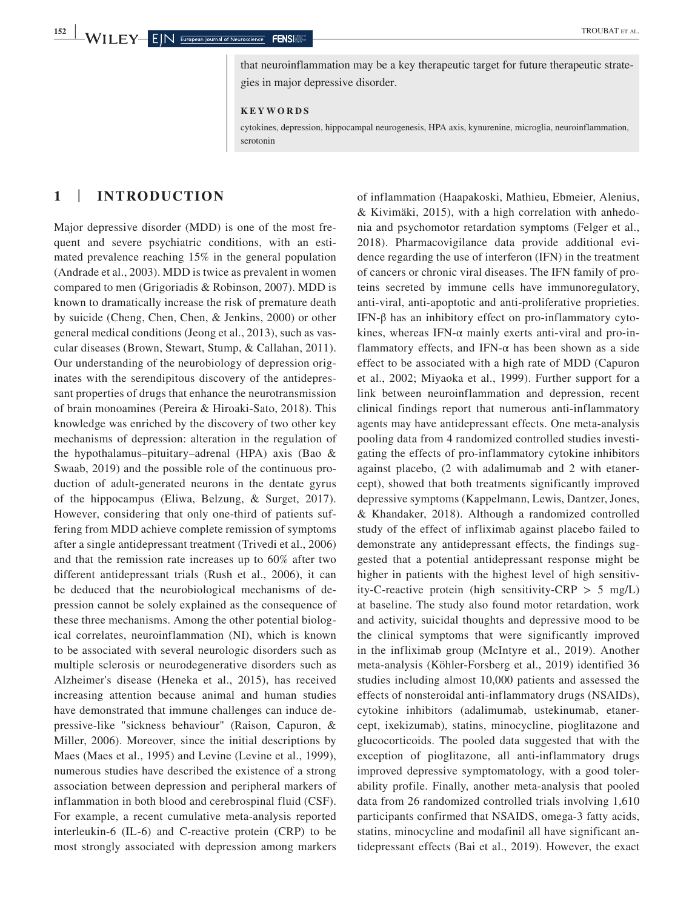that neuroinflammation may be a key therapeutic target for future therapeutic strategies in major depressive disorder.

**KEYWORDS**

cytokines, depression, hippocampal neurogenesis, HPA axis, kynurenine, microglia, neuroinflammation, serotonin

# **1** | **INTRODUCTION**

Major depressive disorder (MDD) is one of the most frequent and severe psychiatric conditions, with an estimated prevalence reaching 15% in the general population (Andrade et al., 2003). MDD is twice as prevalent in women compared to men (Grigoriadis & Robinson, 2007). MDD is known to dramatically increase the risk of premature death by suicide (Cheng, Chen, Chen, & Jenkins, 2000) or other general medical conditions (Jeong et al., 2013), such as vascular diseases (Brown, Stewart, Stump, & Callahan, 2011). Our understanding of the neurobiology of depression originates with the serendipitous discovery of the antidepressant properties of drugs that enhance the neurotransmission of brain monoamines (Pereira & Hiroaki-Sato, 2018). This knowledge was enriched by the discovery of two other key mechanisms of depression: alteration in the regulation of the hypothalamus–pituitary–adrenal (HPA) axis (Bao & Swaab, 2019) and the possible role of the continuous production of adult-generated neurons in the dentate gyrus of the hippocampus (Eliwa, Belzung, & Surget, 2017). However, considering that only one-third of patients suffering from MDD achieve complete remission of symptoms after a single antidepressant treatment (Trivedi et al., 2006) and that the remission rate increases up to 60% after two different antidepressant trials (Rush et al., 2006), it can be deduced that the neurobiological mechanisms of depression cannot be solely explained as the consequence of these three mechanisms. Among the other potential biological correlates, neuroinflammation (NI), which is known to be associated with several neurologic disorders such as multiple sclerosis or neurodegenerative disorders such as Alzheimer's disease (Heneka et al., 2015), has received increasing attention because animal and human studies have demonstrated that immune challenges can induce depressive-like "sickness behaviour" (Raison, Capuron, & Miller, 2006). Moreover, since the initial descriptions by Maes (Maes et al., 1995) and Levine (Levine et al., 1999), numerous studies have described the existence of a strong association between depression and peripheral markers of inflammation in both blood and cerebrospinal fluid (CSF). For example, a recent cumulative meta-analysis reported interleukin-6 (IL-6) and C-reactive protein (CRP) to be most strongly associated with depression among markers

of inflammation (Haapakoski, Mathieu, Ebmeier, Alenius, & Kivimäki, 2015), with a high correlation with anhedonia and psychomotor retardation symptoms (Felger et al., 2018). Pharmacovigilance data provide additional evidence regarding the use of interferon (IFN) in the treatment of cancers or chronic viral diseases. The IFN family of proteins secreted by immune cells have immunoregulatory, anti-viral, anti-apoptotic and anti-proliferative proprieties. IFN-β has an inhibitory effect on pro-inflammatory cytokines, whereas IFN- $\alpha$  mainly exerts anti-viral and pro-inflammatory effects, and IFN- $\alpha$  has been shown as a side effect to be associated with a high rate of MDD (Capuron et al., 2002; Miyaoka et al., 1999). Further support for a link between neuroinflammation and depression, recent clinical findings report that numerous anti-inflammatory agents may have antidepressant effects. One meta-analysis pooling data from 4 randomized controlled studies investigating the effects of pro-inflammatory cytokine inhibitors against placebo, (2 with adalimumab and 2 with etanercept), showed that both treatments significantly improved depressive symptoms (Kappelmann, Lewis, Dantzer, Jones, & Khandaker, 2018). Although a randomized controlled study of the effect of infliximab against placebo failed to demonstrate any antidepressant effects, the findings suggested that a potential antidepressant response might be higher in patients with the highest level of high sensitivity-C-reactive protein (high sensitivity-CRP  $> 5$  mg/L) at baseline. The study also found motor retardation, work and activity, suicidal thoughts and depressive mood to be the clinical symptoms that were significantly improved in the infliximab group (McIntyre et al., 2019). Another meta-analysis (Köhler-Forsberg et al., 2019) identified 36 studies including almost 10,000 patients and assessed the effects of nonsteroidal anti-inflammatory drugs (NSAIDs), cytokine inhibitors (adalimumab, ustekinumab, etanercept, ixekizumab), statins, minocycline, pioglitazone and glucocorticoids. The pooled data suggested that with the exception of pioglitazone, all anti-inflammatory drugs improved depressive symptomatology, with a good tolerability profile. Finally, another meta-analysis that pooled data from 26 randomized controlled trials involving 1,610 participants confirmed that NSAIDS, omega-3 fatty acids, statins, minocycline and modafinil all have significant antidepressant effects (Bai et al., 2019). However, the exact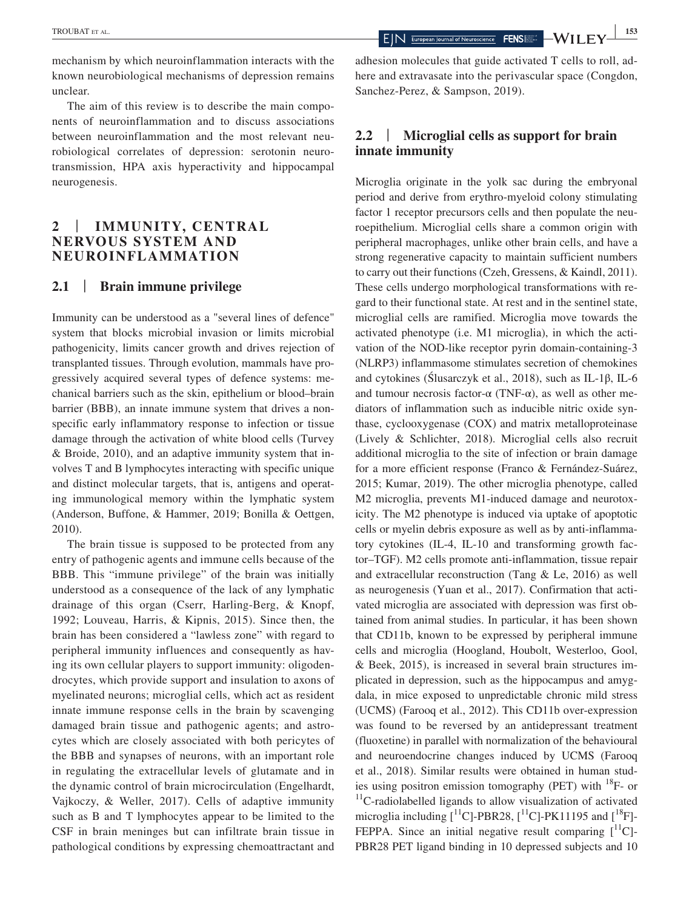mechanism by which neuroinflammation interacts with the known neurobiological mechanisms of depression remains unclear.

The aim of this review is to describe the main components of neuroinflammation and to discuss associations between neuroinflammation and the most relevant neurobiological correlates of depression: serotonin neurotransmission, HPA axis hyperactivity and hippocampal neurogenesis.

# **2** | **IMMUNITY, CENTRAL NERVOUS SYSTEM AND NEUROINFLAMMATION**

#### **2.1** | **Brain immune privilege**

Immunity can be understood as a "several lines of defence" system that blocks microbial invasion or limits microbial pathogenicity, limits cancer growth and drives rejection of transplanted tissues. Through evolution, mammals have progressively acquired several types of defence systems: mechanical barriers such as the skin, epithelium or blood–brain barrier (BBB), an innate immune system that drives a nonspecific early inflammatory response to infection or tissue damage through the activation of white blood cells (Turvey & Broide, 2010), and an adaptive immunity system that involves T and B lymphocytes interacting with specific unique and distinct molecular targets, that is, antigens and operating immunological memory within the lymphatic system (Anderson, Buffone, & Hammer, 2019; Bonilla & Oettgen, 2010).

The brain tissue is supposed to be protected from any entry of pathogenic agents and immune cells because of the BBB. This "immune privilege" of the brain was initially understood as a consequence of the lack of any lymphatic drainage of this organ (Cserr, Harling-Berg, & Knopf, 1992; Louveau, Harris, & Kipnis, 2015). Since then, the brain has been considered a "lawless zone" with regard to peripheral immunity influences and consequently as having its own cellular players to support immunity: oligodendrocytes, which provide support and insulation to axons of myelinated neurons; microglial cells, which act as resident innate immune response cells in the brain by scavenging damaged brain tissue and pathogenic agents; and astrocytes which are closely associated with both pericytes of the BBB and synapses of neurons, with an important role in regulating the extracellular levels of glutamate and in the dynamic control of brain microcirculation (Engelhardt, Vajkoczy, & Weller, 2017). Cells of adaptive immunity such as B and T lymphocytes appear to be limited to the CSF in brain meninges but can infiltrate brain tissue in pathological conditions by expressing chemoattractant and

adhesion molecules that guide activated T cells to roll, adhere and extravasate into the perivascular space (Congdon, Sanchez-Perez, & Sampson, 2019).

# **2.2** | **Microglial cells as support for brain innate immunity**

Microglia originate in the yolk sac during the embryonal period and derive from erythro-myeloid colony stimulating factor 1 receptor precursors cells and then populate the neuroepithelium. Microglial cells share a common origin with peripheral macrophages, unlike other brain cells, and have a strong regenerative capacity to maintain sufficient numbers to carry out their functions (Czeh, Gressens, & Kaindl, 2011). These cells undergo morphological transformations with regard to their functional state. At rest and in the sentinel state, microglial cells are ramified. Microglia move towards the activated phenotype (i.e. M1 microglia), in which the activation of the NOD-like receptor pyrin domain-containing-3 (NLRP3) inflammasome stimulates secretion of chemokines and cytokines (Ślusarczyk et al., 2018), such as IL-1β, IL-6 and tumour necrosis factor- $\alpha$  (TNF- $\alpha$ ), as well as other mediators of inflammation such as inducible nitric oxide synthase, cyclooxygenase (COX) and matrix metalloproteinase (Lively & Schlichter, 2018). Microglial cells also recruit additional microglia to the site of infection or brain damage for a more efficient response (Franco & Fernández-Suárez, 2015; Kumar, 2019). The other microglia phenotype, called M2 microglia, prevents M1-induced damage and neurotoxicity. The M2 phenotype is induced via uptake of apoptotic cells or myelin debris exposure as well as by anti-inflammatory cytokines (IL-4, IL-10 and transforming growth factor–TGF). M2 cells promote anti-inflammation, tissue repair and extracellular reconstruction (Tang & Le, 2016) as well as neurogenesis (Yuan et al., 2017). Confirmation that activated microglia are associated with depression was first obtained from animal studies. In particular, it has been shown that CD11b, known to be expressed by peripheral immune cells and microglia (Hoogland, Houbolt, Westerloo, Gool, & Beek, 2015), is increased in several brain structures implicated in depression, such as the hippocampus and amygdala, in mice exposed to unpredictable chronic mild stress (UCMS) (Farooq et al., 2012). This CD11b over-expression was found to be reversed by an antidepressant treatment (fluoxetine) in parallel with normalization of the behavioural and neuroendocrine changes induced by UCMS (Farooq et al., 2018). Similar results were obtained in human studies using positron emission tomography (PET) with  $^{18}$ F- or  $11$ C-radiolabelled ligands to allow visualization of activated microglia including  $\lceil$ <sup>11</sup>C]-PBR28,  $\lceil$ <sup>11</sup>C]-PK11195 and  $\lceil$ <sup>18</sup>F]-FEPPA. Since an initial negative result comparing  $[$ <sup>11</sup>C]-PBR28 PET ligand binding in 10 depressed subjects and 10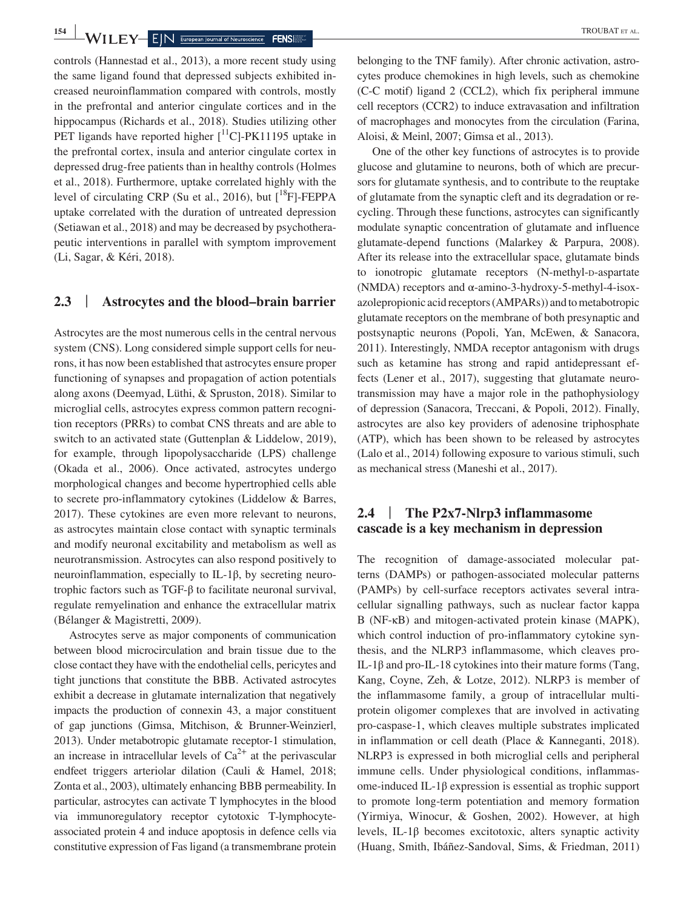**154 WILEY**  $\blacksquare$  **E** IN European Journal of Neuroscience **FENS** 

controls (Hannestad et al., 2013), a more recent study using the same ligand found that depressed subjects exhibited increased neuroinflammation compared with controls, mostly in the prefrontal and anterior cingulate cortices and in the hippocampus (Richards et al., 2018). Studies utilizing other PET ligands have reported higher  $\lceil {^{11}C} \rceil$ -PK11195 uptake in the prefrontal cortex, insula and anterior cingulate cortex in depressed drug-free patients than in healthy controls (Holmes et al., 2018). Furthermore, uptake correlated highly with the level of circulating CRP (Su et al., 2016), but  $[{}^{18}F]$ -FEPPA uptake correlated with the duration of untreated depression (Setiawan et al., 2018) and may be decreased by psychotherapeutic interventions in parallel with symptom improvement (Li, Sagar, & Kéri, 2018).

#### **2.3** | **Astrocytes and the blood–brain barrier**

Astrocytes are the most numerous cells in the central nervous system (CNS). Long considered simple support cells for neurons, it has now been established that astrocytes ensure proper functioning of synapses and propagation of action potentials along axons (Deemyad, Lüthi, & Spruston, 2018). Similar to microglial cells, astrocytes express common pattern recognition receptors (PRRs) to combat CNS threats and are able to switch to an activated state (Guttenplan & Liddelow, 2019), for example, through lipopolysaccharide (LPS) challenge (Okada et al., 2006). Once activated, astrocytes undergo morphological changes and become hypertrophied cells able to secrete pro-inflammatory cytokines (Liddelow & Barres, 2017). These cytokines are even more relevant to neurons, as astrocytes maintain close contact with synaptic terminals and modify neuronal excitability and metabolism as well as neurotransmission. Astrocytes can also respond positively to neuroinflammation, especially to IL-1β, by secreting neurotrophic factors such as TGF-β to facilitate neuronal survival, regulate remyelination and enhance the extracellular matrix (Bélanger & Magistretti, 2009).

Astrocytes serve as major components of communication between blood microcirculation and brain tissue due to the close contact they have with the endothelial cells, pericytes and tight junctions that constitute the BBB. Activated astrocytes exhibit a decrease in glutamate internalization that negatively impacts the production of connexin 43, a major constituent of gap junctions (Gimsa, Mitchison, & Brunner-Weinzierl, 2013). Under metabotropic glutamate receptor-1 stimulation, an increase in intracellular levels of  $Ca^{2+}$  at the perivascular endfeet triggers arteriolar dilation (Cauli & Hamel, 2018; Zonta et al., 2003), ultimately enhancing BBB permeability. In particular, astrocytes can activate T lymphocytes in the blood via immunoregulatory receptor cytotoxic T-lymphocyteassociated protein 4 and induce apoptosis in defence cells via constitutive expression of Fas ligand (a transmembrane protein

belonging to the TNF family). After chronic activation, astrocytes produce chemokines in high levels, such as chemokine (C-C motif) ligand 2 (CCL2), which fix peripheral immune cell receptors (CCR2) to induce extravasation and infiltration of macrophages and monocytes from the circulation (Farina, Aloisi, & Meinl, 2007; Gimsa et al., 2013).

One of the other key functions of astrocytes is to provide glucose and glutamine to neurons, both of which are precursors for glutamate synthesis, and to contribute to the reuptake of glutamate from the synaptic cleft and its degradation or recycling. Through these functions, astrocytes can significantly modulate synaptic concentration of glutamate and influence glutamate-depend functions (Malarkey & Parpura, 2008). After its release into the extracellular space, glutamate binds to ionotropic glutamate receptors (N-methyl-p-aspartate (NMDA) receptors and α-amino-3-hydroxy-5-methyl-4-isoxazolepropionic acid receptors (AMPARs)) and to metabotropic glutamate receptors on the membrane of both presynaptic and postsynaptic neurons (Popoli, Yan, McEwen, & Sanacora, 2011). Interestingly, NMDA receptor antagonism with drugs such as ketamine has strong and rapid antidepressant effects (Lener et al., 2017), suggesting that glutamate neurotransmission may have a major role in the pathophysiology of depression (Sanacora, Treccani, & Popoli, 2012). Finally, astrocytes are also key providers of adenosine triphosphate (ATP), which has been shown to be released by astrocytes (Lalo et al., 2014) following exposure to various stimuli, such as mechanical stress (Maneshi et al., 2017).

#### **2.4** | **The P2x7-Nlrp3 inflammasome cascade is a key mechanism in depression**

The recognition of damage-associated molecular patterns (DAMPs) or pathogen-associated molecular patterns (PAMPs) by cell-surface receptors activates several intracellular signalling pathways, such as nuclear factor kappa B (NF-κB) and mitogen-activated protein kinase (MAPK), which control induction of pro-inflammatory cytokine synthesis, and the NLRP3 inflammasome, which cleaves pro-IL-1β and pro-IL-18 cytokines into their mature forms (Tang, Kang, Coyne, Zeh, & Lotze, 2012). NLRP3 is member of the inflammasome family, a group of intracellular multiprotein oligomer complexes that are involved in activating pro-caspase-1, which cleaves multiple substrates implicated in inflammation or cell death (Place & Kanneganti, 2018). NLRP3 is expressed in both microglial cells and peripheral immune cells. Under physiological conditions, inflammasome-induced IL-1β expression is essential as trophic support to promote long-term potentiation and memory formation (Yirmiya, Winocur, & Goshen, 2002). However, at high levels, IL-1β becomes excitotoxic, alters synaptic activity (Huang, Smith, Ibáñez-Sandoval, Sims, & Friedman, 2011)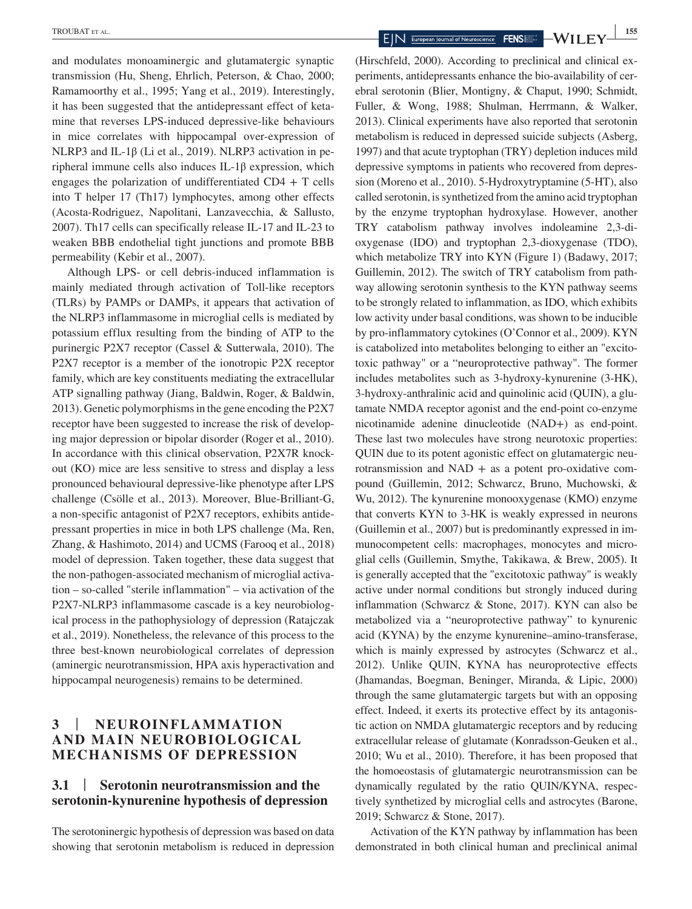and modulates monoaminergic and glutamatergic synaptic transmission (Hu, Sheng, Ehrlich, Peterson, & Chao, 2000; Ramamoorthy et al., 1995; Yang et al., 2019). Interestingly, it has been suggested that the antidepressant effect of ketamine that reverses LPS-induced depressive-like behaviours in mice correlates with hippocampal over-expression of NLRP3 and IL-1β (Li et al., 2019). NLRP3 activation in peripheral immune cells also induces IL-1β expression, which engages the polarization of undifferentiated  $CD4 + T$  cells into T helper 17 (Th17) lymphocytes, among other effects (Acosta-Rodriguez, Napolitani, Lanzavecchia, & Sallusto, 2007). Th17 cells can specifically release IL-17 and IL-23 to weaken BBB endothelial tight junctions and promote BBB permeability (Kebir et al., 2007).

Although LPS- or cell debris-induced inflammation is mainly mediated through activation of Toll-like receptors (TLRs) by PAMPs or DAMPs, it appears that activation of the NLRP3 inflammasome in microglial cells is mediated by potassium efflux resulting from the binding of ATP to the purinergic P2X7 receptor (Cassel & Sutterwala, 2010). The P2X7 receptor is a member of the ionotropic P2X receptor family, which are key constituents mediating the extracellular ATP signalling pathway (Jiang, Baldwin, Roger, & Baldwin, 2013). Genetic polymorphisms in the gene encoding the P2X7 receptor have been suggested to increase the risk of developing major depression or bipolar disorder (Roger et al., 2010). In accordance with this clinical observation, P2X7R knockout (KO) mice are less sensitive to stress and display a less pronounced behavioural depressive-like phenotype after LPS challenge (Csölle et al., 2013). Moreover, Blue-Brilliant-G, a non-specific antagonist of P2X7 receptors, exhibits antidepressant properties in mice in both LPS challenge (Ma, Ren, Zhang, & Hashimoto, 2014) and UCMS (Farooq et al., 2018) model of depression. Taken together, these data suggest that the non-pathogen-associated mechanism of microglial activation – so-called "sterile inflammation" – via activation of the P2X7-NLRP3 inflammasome cascade is a key neurobiological process in the pathophysiology of depression (Ratajczak et al., 2019). Nonetheless, the relevance of this process to the three best-known neurobiological correlates of depression (aminergic neurotransmission, HPA axis hyperactivation and hippocampal neurogenesis) remains to be determined.

# **3** | **NEUROINFLAMMATION AND MAIN NEUROBIOLOGICAL MECHANISMS OF DEPRESSION**

#### **3.1** | **Serotonin neurotransmission and the serotonin-kynurenine hypothesis of depression**

The serotoninergic hypothesis of depression was based on data showing that serotonin metabolism is reduced in depression

(Hirschfeld, 2000). According to preclinical and clinical experiments, antidepressants enhance the bio-availability of cerebral serotonin (Blier, Montigny, & Chaput, 1990; Schmidt, Fuller, & Wong, 1988; Shulman, Herrmann, & Walker, 2013). Clinical experiments have also reported that serotonin metabolism is reduced in depressed suicide subjects (Asberg, 1997) and that acute tryptophan (TRY) depletion induces mild depressive symptoms in patients who recovered from depression (Moreno et al., 2010). 5-Hydroxytryptamine (5-HT), also called serotonin, is synthetized from the amino acid tryptophan by the enzyme tryptophan hydroxylase. However, another TRY catabolism pathway involves indoleamine 2,3-dioxygenase (IDO) and tryptophan 2,3-dioxygenase (TDO), which metabolize TRY into KYN (Figure 1) (Badawy, 2017; Guillemin, 2012). The switch of TRY catabolism from pathway allowing serotonin synthesis to the KYN pathway seems to be strongly related to inflammation, as IDO, which exhibits low activity under basal conditions, was shown to be inducible by pro-inflammatory cytokines (O'Connor et al., 2009). KYN is catabolized into metabolites belonging to either an "excitotoxic pathway" or a "neuroprotective pathway". The former includes metabolites such as 3-hydroxy-kynurenine (3-HK), 3-hydroxy-anthralinic acid and quinolinic acid (QUIN), a glutamate NMDA receptor agonist and the end-point co-enzyme nicotinamide adenine dinucleotide (NAD+) as end-point. These last two molecules have strong neurotoxic properties: QUIN due to its potent agonistic effect on glutamatergic neurotransmission and  $NAD + as$  a potent pro-oxidative compound (Guillemin, 2012; Schwarcz, Bruno, Muchowski, & Wu, 2012). The kynurenine monooxygenase (KMO) enzyme that converts KYN to 3-HK is weakly expressed in neurons (Guillemin et al., 2007) but is predominantly expressed in immunocompetent cells: macrophages, monocytes and microglial cells (Guillemin, Smythe, Takikawa, & Brew, 2005). It is generally accepted that the "excitotoxic pathway" is weakly active under normal conditions but strongly induced during inflammation (Schwarcz & Stone, 2017). KYN can also be metabolized via a "neuroprotective pathway" to kynurenic acid (KYNA) by the enzyme kynurenine–amino-transferase, which is mainly expressed by astrocytes (Schwarcz et al., 2012). Unlike QUIN, KYNA has neuroprotective effects (Jhamandas, Boegman, Beninger, Miranda, & Lipic, 2000) through the same glutamatergic targets but with an opposing effect. Indeed, it exerts its protective effect by its antagonistic action on NMDA glutamatergic receptors and by reducing extracellular release of glutamate (Konradsson-Geuken et al., 2010; Wu et al., 2010). Therefore, it has been proposed that the homoeostasis of glutamatergic neurotransmission can be dynamically regulated by the ratio QUIN/KYNA, respectively synthetized by microglial cells and astrocytes (Barone, 2019; Schwarcz & Stone, 2017).

Activation of the KYN pathway by inflammation has been demonstrated in both clinical human and preclinical animal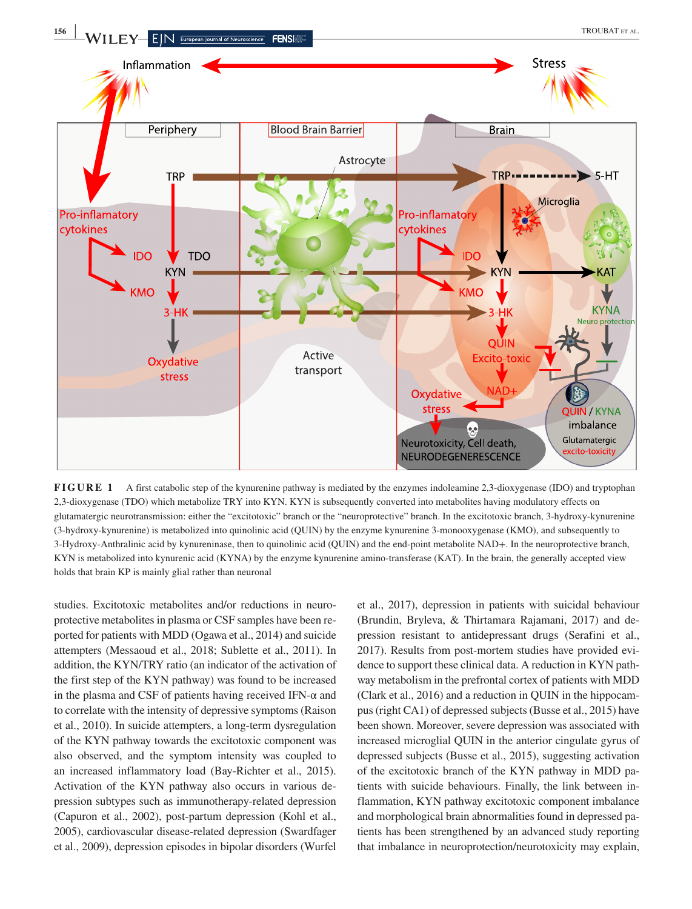

**FIGURE 1** A first catabolic step of the kynurenine pathway is mediated by the enzymes indoleamine 2.3-dioxygenase (IDO) and tryptophan 2,3-dioxygenase (TDO) which metabolize TRY into KYN. KYN is subsequently converted into metabolites having modulatory effects on glutamatergic neurotransmission: either the "excitotoxic" branch or the "neuroprotective" branch. In the excitotoxic branch, 3-hydroxy-kynurenine (3-hydroxy-kynurenine) is metabolized into quinolinic acid (QUIN) by the enzyme kynurenine 3-monooxygenase (KMO), and subsequently to 3-Hydroxy-Anthralinic acid by kynureninase, then to quinolinic acid (QUIN) and the end-point metabolite NAD+. In the neuroprotective branch, KYN is metabolized into kynurenic acid (KYNA) by the enzyme kynurenine amino-transferase (KAT). In the brain, the generally accepted view holds that brain KP is mainly glial rather than neuronal

studies. Excitotoxic metabolites and/or reductions in neuroprotective metabolites in plasma or CSF samples have been reported for patients with MDD (Ogawa et al., 2014) and suicide attempters (Messaoud et al., 2018; Sublette et al., 2011). In addition, the KYN/TRY ratio (an indicator of the activation of the first step of the KYN pathway) was found to be increased in the plasma and CSF of patients having received IFN- $\alpha$  and to correlate with the intensity of depressive symptoms (Raison et al., 2010). In suicide attempters, a long-term dysregulation of the KYN pathway towards the excitotoxic component was also observed, and the symptom intensity was coupled to an increased inflammatory load (Bay-Richter et al., 2015). Activation of the KYN pathway also occurs in various depression subtypes such as immunotherapy-related depression (Capuron et al., 2002), post-partum depression (Kohl et al., 2005), cardiovascular disease-related depression (Swardfager et al., 2009), depression episodes in bipolar disorders (Wurfel

et al., 2017), depression in patients with suicidal behaviour (Brundin, Bryleva, & Thirtamara Rajamani, 2017) and depression resistant to antidepressant drugs (Serafini et al., 2017). Results from post-mortem studies have provided evidence to support these clinical data. A reduction in KYN pathway metabolism in the prefrontal cortex of patients with MDD (Clark et al., 2016) and a reduction in QUIN in the hippocampus (right CA1) of depressed subjects (Busse et al., 2015) have been shown. Moreover, severe depression was associated with increased microglial QUIN in the anterior cingulate gyrus of depressed subjects (Busse et al., 2015), suggesting activation of the excitotoxic branch of the KYN pathway in MDD patients with suicide behaviours. Finally, the link between inflammation, KYN pathway excitotoxic component imbalance and morphological brain abnormalities found in depressed patients has been strengthened by an advanced study reporting that imbalance in neuroprotection/neurotoxicity may explain,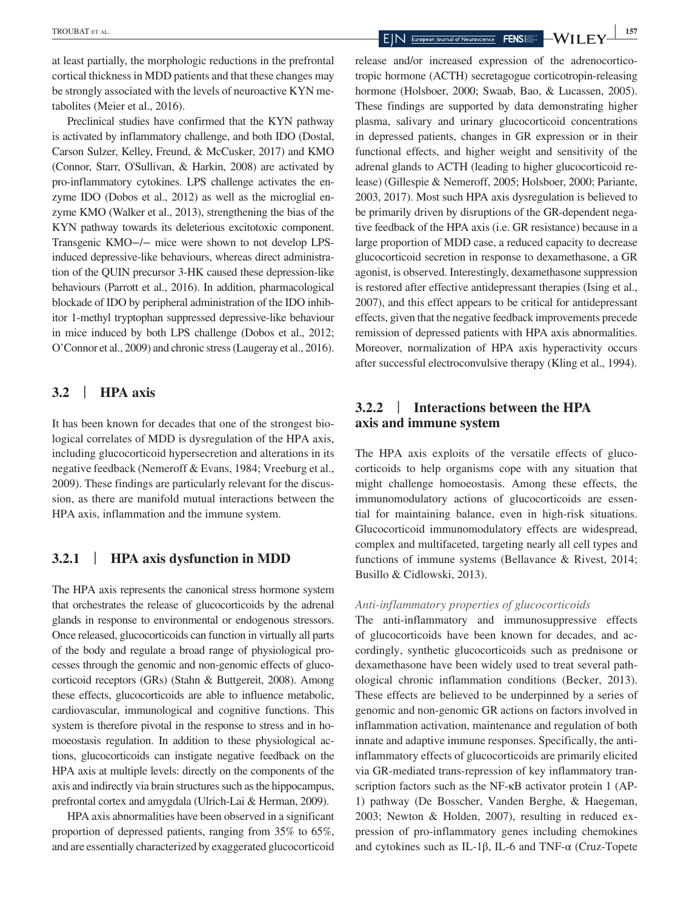at least partially, the morphologic reductions in the prefrontal cortical thickness in MDD patients and that these changes may be strongly associated with the levels of neuroactive KYN metabolites (Meier et al., 2016).

Preclinical studies have confirmed that the KYN pathway is activated by inflammatory challenge, and both IDO (Dostal, Carson Sulzer, Kelley, Freund, & McCusker, 2017) and KMO (Connor, Starr, O'Sullivan, & Harkin, 2008) are activated by pro-inflammatory cytokines. LPS challenge activates the enzyme IDO (Dobos et al., 2012) as well as the microglial enzyme KMO (Walker et al., 2013), strengthening the bias of the KYN pathway towards its deleterious excitotoxic component. Transgenic KMO−/− mice were shown to not develop LPSinduced depressive-like behaviours, whereas direct administration of the QUIN precursor 3-HK caused these depression-like behaviours (Parrott et al., 2016). In addition, pharmacological blockade of IDO by peripheral administration of the IDO inhibitor 1-methyl tryptophan suppressed depressive-like behaviour in mice induced by both LPS challenge (Dobos et al., 2012; O'Connor et al., 2009) and chronic stress (Laugeray et al., 2016).

# **3.2** | **HPA axis**

It has been known for decades that one of the strongest biological correlates of MDD is dysregulation of the HPA axis, including glucocorticoid hypersecretion and alterations in its negative feedback (Nemeroff & Evans, 1984; Vreeburg et al., 2009). These findings are particularly relevant for the discussion, as there are manifold mutual interactions between the HPA axis, inflammation and the immune system.

# **3.2.1** | **HPA axis dysfunction in MDD**

The HPA axis represents the canonical stress hormone system that orchestrates the release of glucocorticoids by the adrenal glands in response to environmental or endogenous stressors. Once released, glucocorticoids can function in virtually all parts of the body and regulate a broad range of physiological processes through the genomic and non-genomic effects of glucocorticoid receptors (GRs) (Stahn & Buttgereit, 2008). Among these effects, glucocorticoids are able to influence metabolic, cardiovascular, immunological and cognitive functions. This system is therefore pivotal in the response to stress and in homoeostasis regulation. In addition to these physiological actions, glucocorticoids can instigate negative feedback on the HPA axis at multiple levels: directly on the components of the axis and indirectly via brain structures such as the hippocampus, prefrontal cortex and amygdala (Ulrich-Lai & Herman, 2009).

HPA axis abnormalities have been observed in a significant proportion of depressed patients, ranging from 35% to 65%, and are essentially characterized by exaggerated glucocorticoid

**EXAMPLE 157**<br>**EXAMPLE EXAMPLE 2009 EXAMPLE 2009 EXAMPLE 2009 EXAMPLE 2009 EXAMPLE 2009 EXAMPLE 2009 EXAMPLE 2009 EXAMPLE 2019** 

release and/or increased expression of the adrenocorticotropic hormone (ACTH) secretagogue corticotropin-releasing hormone (Holsboer, 2000; Swaab, Bao, & Lucassen, 2005). These findings are supported by data demonstrating higher plasma, salivary and urinary glucocorticoid concentrations in depressed patients, changes in GR expression or in their functional effects, and higher weight and sensitivity of the adrenal glands to ACTH (leading to higher glucocorticoid release) (Gillespie & Nemeroff, 2005; Holsboer, 2000; Pariante, 2003, 2017). Most such HPA axis dysregulation is believed to be primarily driven by disruptions of the GR-dependent negative feedback of the HPA axis (i.e. GR resistance) because in a large proportion of MDD case, a reduced capacity to decrease glucocorticoid secretion in response to dexamethasone, a GR agonist, is observed. Interestingly, dexamethasone suppression is restored after effective antidepressant therapies (Ising et al., 2007), and this effect appears to be critical for antidepressant effects, given that the negative feedback improvements precede remission of depressed patients with HPA axis abnormalities. Moreover, normalization of HPA axis hyperactivity occurs after successful electroconvulsive therapy (Kling et al., 1994).

# **3.2.2** | **Interactions between the HPA axis and immune system**

The HPA axis exploits of the versatile effects of glucocorticoids to help organisms cope with any situation that might challenge homoeostasis. Among these effects, the immunomodulatory actions of glucocorticoids are essential for maintaining balance, even in high-risk situations. Glucocorticoid immunomodulatory effects are widespread, complex and multifaceted, targeting nearly all cell types and functions of immune systems (Bellavance & Rivest, 2014; Busillo & Cidlowski, 2013).

#### *Anti-inflammatory properties of glucocorticoids*

The anti-inflammatory and immunosuppressive effects of glucocorticoids have been known for decades, and accordingly, synthetic glucocorticoids such as prednisone or dexamethasone have been widely used to treat several pathological chronic inflammation conditions (Becker, 2013). These effects are believed to be underpinned by a series of genomic and non-genomic GR actions on factors involved in inflammation activation, maintenance and regulation of both innate and adaptive immune responses. Specifically, the antiinflammatory effects of glucocorticoids are primarily elicited via GR-mediated trans-repression of key inflammatory transcription factors such as the NF-κB activator protein 1 (AP-1) pathway (De Bosscher, Vanden Berghe, & Haegeman, 2003; Newton & Holden, 2007), resulting in reduced expression of pro-inflammatory genes including chemokines and cytokines such as IL-1β, IL-6 and TNF- $\alpha$  (Cruz-Topete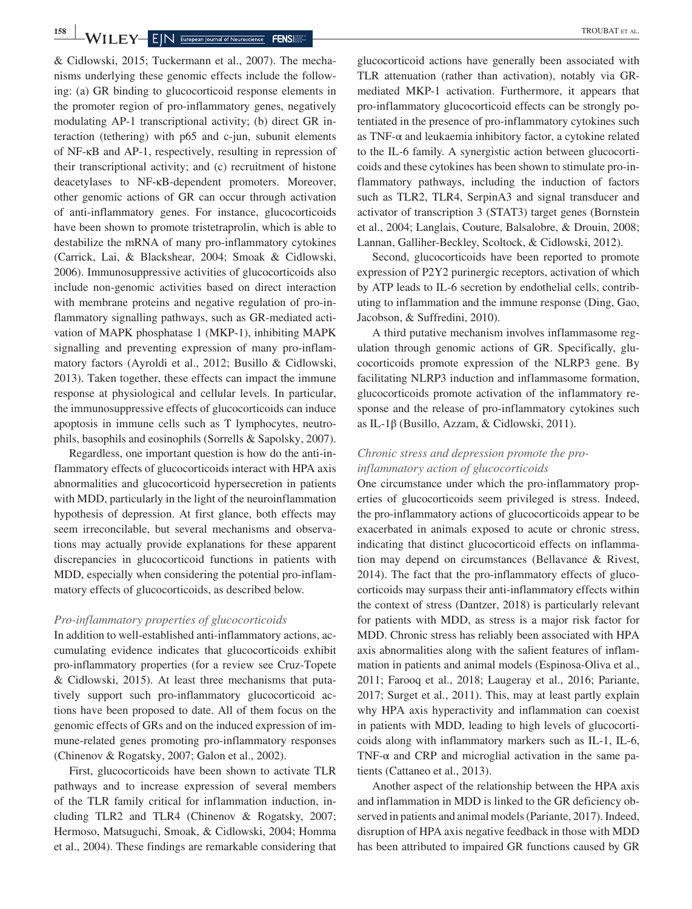& Cidlowski, 2015; Tuckermann et al., 2007). The mechanisms underlying these genomic effects include the following: (a) GR binding to glucocorticoid response elements in the promoter region of pro-inflammatory genes, negatively modulating AP-1 transcriptional activity; (b) direct GR interaction (tethering) with p65 and c-jun, subunit elements of NF-κB and AP-1, respectively, resulting in repression of their transcriptional activity; and (c) recruitment of histone deacetylases to NF-κB-dependent promoters. Moreover, other genomic actions of GR can occur through activation of anti-inflammatory genes. For instance, glucocorticoids have been shown to promote tristetraprolin, which is able to destabilize the mRNA of many pro-inflammatory cytokines (Carrick, Lai, & Blackshear, 2004; Smoak & Cidlowski, 2006). Immunosuppressive activities of glucocorticoids also include non-genomic activities based on direct interaction with membrane proteins and negative regulation of pro-inflammatory signalling pathways, such as GR-mediated activation of MAPK phosphatase 1 (MKP-1), inhibiting MAPK signalling and preventing expression of many pro-inflammatory factors (Ayroldi et al., 2012; Busillo & Cidlowski, 2013). Taken together, these effects can impact the immune response at physiological and cellular levels. In particular, the immunosuppressive effects of glucocorticoids can induce apoptosis in immune cells such as T lymphocytes, neutrophils, basophils and eosinophils (Sorrells & Sapolsky, 2007).

Regardless, one important question is how do the anti-inflammatory effects of glucocorticoids interact with HPA axis abnormalities and glucocorticoid hypersecretion in patients with MDD, particularly in the light of the neuroinflammation hypothesis of depression. At first glance, both effects may seem irreconcilable, but several mechanisms and observations may actually provide explanations for these apparent discrepancies in glucocorticoid functions in patients with MDD, especially when considering the potential pro-inflammatory effects of glucocorticoids, as described below.

#### *Pro-inflammatory properties of glucocorticoids*

In addition to well-established anti-inflammatory actions, accumulating evidence indicates that glucocorticoids exhibit pro-inflammatory properties (for a review see Cruz-Topete & Cidlowski, 2015). At least three mechanisms that putatively support such pro-inflammatory glucocorticoid actions have been proposed to date. All of them focus on the genomic effects of GRs and on the induced expression of immune-related genes promoting pro-inflammatory responses (Chinenov & Rogatsky, 2007; Galon et al., 2002).

First, glucocorticoids have been shown to activate TLR pathways and to increase expression of several members of the TLR family critical for inflammation induction, including TLR2 and TLR4 (Chinenov & Rogatsky, 2007; Hermoso, Matsuguchi, Smoak, & Cidlowski, 2004; Homma et al., 2004). These findings are remarkable considering that

glucocorticoid actions have generally been associated with TLR attenuation (rather than activation), notably via GRmediated MKP-1 activation. Furthermore, it appears that pro-inflammatory glucocorticoid effects can be strongly potentiated in the presence of pro-inflammatory cytokines such as TNF-α and leukaemia inhibitory factor, a cytokine related to the IL-6 family. A synergistic action between glucocorticoids and these cytokines has been shown to stimulate pro-inflammatory pathways, including the induction of factors such as TLR2, TLR4, SerpinA3 and signal transducer and activator of transcription 3 (STAT3) target genes (Bornstein et al., 2004; Langlais, Couture, Balsalobre, & Drouin, 2008; Lannan, Galliher-Beckley, Scoltock, & Cidlowski, 2012).

Second, glucocorticoids have been reported to promote expression of P2Y2 purinergic receptors, activation of which by ATP leads to IL-6 secretion by endothelial cells, contributing to inflammation and the immune response (Ding, Gao, Jacobson, & Suffredini, 2010).

A third putative mechanism involves inflammasome regulation through genomic actions of GR. Specifically, glucocorticoids promote expression of the NLRP3 gene. By facilitating NLRP3 induction and inflammasome formation, glucocorticoids promote activation of the inflammatory response and the release of pro-inflammatory cytokines such as IL-1β (Busillo, Azzam, & Cidlowski, 2011).

#### *Chronic stress and depression promote the proinflammatory action of glucocorticoids*

One circumstance under which the pro-inflammatory properties of glucocorticoids seem privileged is stress. Indeed, the pro-inflammatory actions of glucocorticoids appear to be exacerbated in animals exposed to acute or chronic stress, indicating that distinct glucocorticoid effects on inflammation may depend on circumstances (Bellavance & Rivest, 2014). The fact that the pro-inflammatory effects of glucocorticoids may surpass their anti-inflammatory effects within the context of stress (Dantzer, 2018) is particularly relevant for patients with MDD, as stress is a major risk factor for MDD. Chronic stress has reliably been associated with HPA axis abnormalities along with the salient features of inflammation in patients and animal models (Espinosa-Oliva et al., 2011; Farooq et al., 2018; Laugeray et al., 2016; Pariante, 2017; Surget et al., 2011). This, may at least partly explain why HPA axis hyperactivity and inflammation can coexist in patients with MDD, leading to high levels of glucocorticoids along with inflammatory markers such as IL-1, IL-6, TNF- $\alpha$  and CRP and microglial activation in the same patients (Cattaneo et al., 2013).

Another aspect of the relationship between the HPA axis and inflammation in MDD is linked to the GR deficiency observed in patients and animal models (Pariante, 2017). Indeed, disruption of HPA axis negative feedback in those with MDD has been attributed to impaired GR functions caused by GR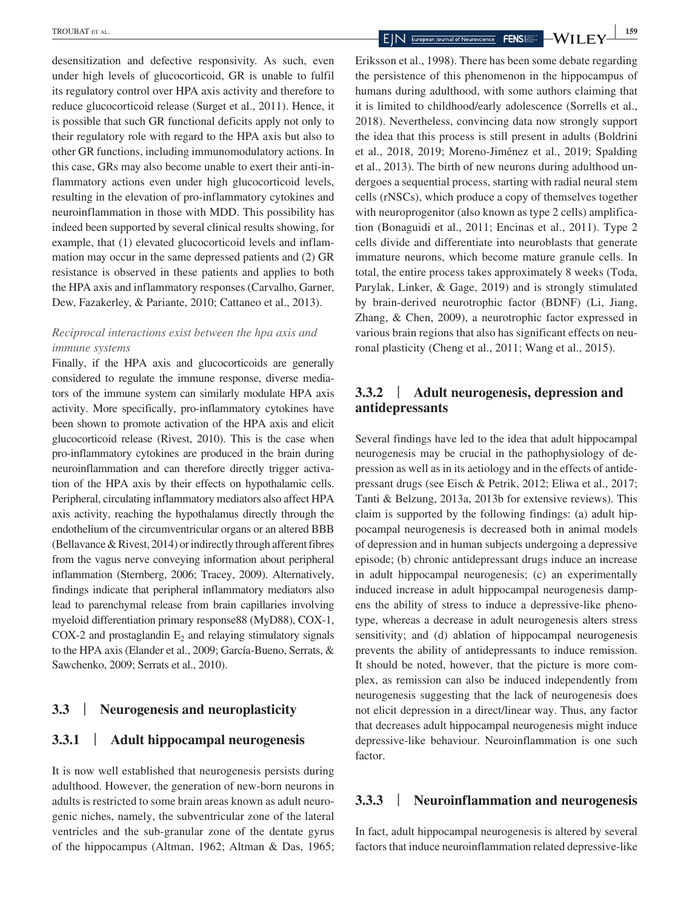desensitization and defective responsivity. As such, even under high levels of glucocorticoid, GR is unable to fulfil its regulatory control over HPA axis activity and therefore to reduce glucocorticoid release (Surget et al., 2011). Hence, it is possible that such GR functional deficits apply not only to their regulatory role with regard to the HPA axis but also to other GR functions, including immunomodulatory actions. In this case, GRs may also become unable to exert their anti-inflammatory actions even under high glucocorticoid levels, resulting in the elevation of pro-inflammatory cytokines and neuroinflammation in those with MDD. This possibility has indeed been supported by several clinical results showing, for example, that (1) elevated glucocorticoid levels and inflammation may occur in the same depressed patients and (2) GR resistance is observed in these patients and applies to both the HPA axis and inflammatory responses (Carvalho, Garner, Dew, Fazakerley, & Pariante, 2010; Cattaneo et al., 2013).

#### *Reciprocal interactions exist between the hpa axis and immune systems*

Finally, if the HPA axis and glucocorticoids are generally considered to regulate the immune response, diverse mediators of the immune system can similarly modulate HPA axis activity. More specifically, pro-inflammatory cytokines have been shown to promote activation of the HPA axis and elicit glucocorticoid release (Rivest, 2010). This is the case when pro-inflammatory cytokines are produced in the brain during neuroinflammation and can therefore directly trigger activation of the HPA axis by their effects on hypothalamic cells. Peripheral, circulating inflammatory mediators also affect HPA axis activity, reaching the hypothalamus directly through the endothelium of the circumventricular organs or an altered BBB (Bellavance & Rivest, 2014) or indirectly through afferent fibres from the vagus nerve conveying information about peripheral inflammation (Sternberg, 2006; Tracey, 2009). Alternatively, findings indicate that peripheral inflammatory mediators also lead to parenchymal release from brain capillaries involving myeloid differentiation primary response88 (MyD88), COX-1, COX-2 and prostaglandin  $E_2$  and relaying stimulatory signals to the HPA axis (Elander et al., 2009; García-Bueno, Serrats, & Sawchenko, 2009; Serrats et al., 2010).

#### **3.3** | **Neurogenesis and neuroplasticity**

# **3.3.1** | **Adult hippocampal neurogenesis**

It is now well established that neurogenesis persists during adulthood. However, the generation of new-born neurons in adults is restricted to some brain areas known as adult neurogenic niches, namely, the subventricular zone of the lateral ventricles and the sub-granular zone of the dentate gyrus of the hippocampus (Altman, 1962; Altman & Das, 1965;

Eriksson et al., 1998). There has been some debate regarding the persistence of this phenomenon in the hippocampus of humans during adulthood, with some authors claiming that it is limited to childhood/early adolescence (Sorrells et al., 2018). Nevertheless, convincing data now strongly support the idea that this process is still present in adults (Boldrini et al., 2018, 2019; Moreno-Jiménez et al., 2019; Spalding et al., 2013). The birth of new neurons during adulthood undergoes a sequential process, starting with radial neural stem cells (rNSCs), which produce a copy of themselves together with neuroprogenitor (also known as type 2 cells) amplification (Bonaguidi et al., 2011; Encinas et al., 2011). Type 2 cells divide and differentiate into neuroblasts that generate immature neurons, which become mature granule cells. In total, the entire process takes approximately 8 weeks (Toda, Parylak, Linker, & Gage, 2019) and is strongly stimulated by brain-derived neurotrophic factor (BDNF) (Li, Jiang, Zhang, & Chen, 2009), a neurotrophic factor expressed in various brain regions that also has significant effects on neuronal plasticity (Cheng et al., 2011; Wang et al., 2015).

# **3.3.2** | **Adult neurogenesis, depression and antidepressants**

Several findings have led to the idea that adult hippocampal neurogenesis may be crucial in the pathophysiology of depression as well as in its aetiology and in the effects of antidepressant drugs (see Eisch & Petrik, 2012; Eliwa et al., 2017; Tanti & Belzung, 2013a, 2013b for extensive reviews). This claim is supported by the following findings: (a) adult hippocampal neurogenesis is decreased both in animal models of depression and in human subjects undergoing a depressive episode; (b) chronic antidepressant drugs induce an increase in adult hippocampal neurogenesis; (c) an experimentally induced increase in adult hippocampal neurogenesis dampens the ability of stress to induce a depressive-like phenotype, whereas a decrease in adult neurogenesis alters stress sensitivity; and (d) ablation of hippocampal neurogenesis prevents the ability of antidepressants to induce remission. It should be noted, however, that the picture is more complex, as remission can also be induced independently from neurogenesis suggesting that the lack of neurogenesis does not elicit depression in a direct/linear way. Thus, any factor that decreases adult hippocampal neurogenesis might induce depressive-like behaviour. Neuroinflammation is one such factor.

# **3.3.3** | **Neuroinflammation and neurogenesis**

In fact, adult hippocampal neurogenesis is altered by several factors that induce neuroinflammation related depressive-like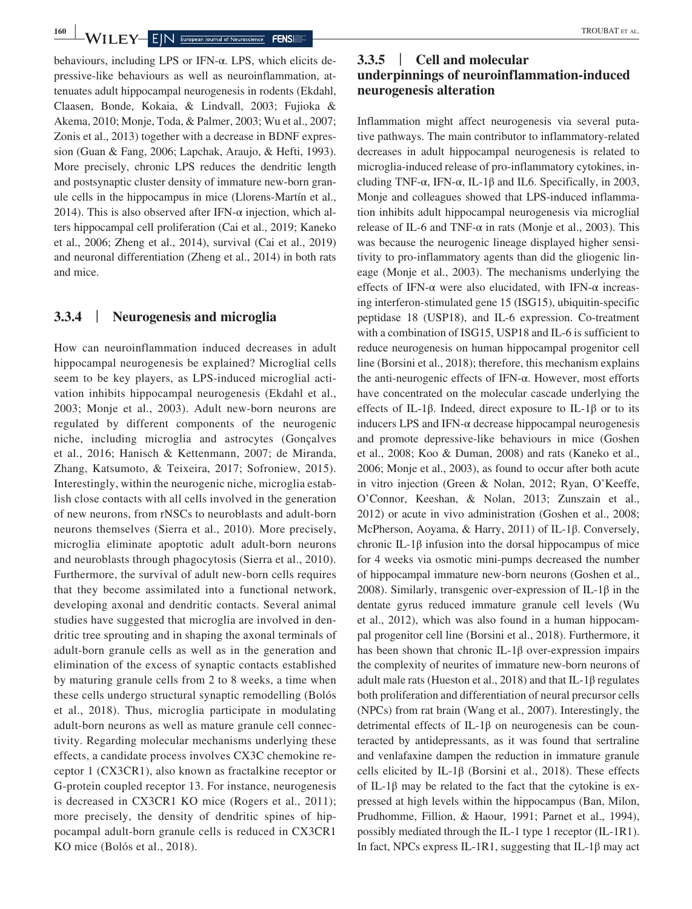behaviours, including LPS or IFN-α. LPS, which elicits depressive-like behaviours as well as neuroinflammation, attenuates adult hippocampal neurogenesis in rodents (Ekdahl, Claasen, Bonde, Kokaia, & Lindvall, 2003; Fujioka & Akema, 2010; Monje, Toda, & Palmer, 2003; Wu et al., 2007; Zonis et al., 2013) together with a decrease in BDNF expression (Guan & Fang, 2006; Lapchak, Araujo, & Hefti, 1993). More precisely, chronic LPS reduces the dendritic length and postsynaptic cluster density of immature new-born granule cells in the hippocampus in mice (Llorens-Martín et al., 2014). This is also observed after IFN- $\alpha$  injection, which alters hippocampal cell proliferation (Cai et al., 2019; Kaneko et al., 2006; Zheng et al., 2014), survival (Cai et al., 2019) and neuronal differentiation (Zheng et al., 2014) in both rats and mice.

#### **3.3.4** | **Neurogenesis and microglia**

How can neuroinflammation induced decreases in adult hippocampal neurogenesis be explained? Microglial cells seem to be key players, as LPS-induced microglial activation inhibits hippocampal neurogenesis (Ekdahl et al., 2003; Monje et al., 2003). Adult new-born neurons are regulated by different components of the neurogenic niche, including microglia and astrocytes (Gonçalves et al., 2016; Hanisch & Kettenmann, 2007; de Miranda, Zhang, Katsumoto, & Teixeira, 2017; Sofroniew, 2015). Interestingly, within the neurogenic niche, microglia establish close contacts with all cells involved in the generation of new neurons, from rNSCs to neuroblasts and adult-born neurons themselves (Sierra et al., 2010). More precisely, microglia eliminate apoptotic adult adult-born neurons and neuroblasts through phagocytosis (Sierra et al., 2010). Furthermore, the survival of adult new-born cells requires that they become assimilated into a functional network, developing axonal and dendritic contacts. Several animal studies have suggested that microglia are involved in dendritic tree sprouting and in shaping the axonal terminals of adult-born granule cells as well as in the generation and elimination of the excess of synaptic contacts established by maturing granule cells from 2 to 8 weeks, a time when these cells undergo structural synaptic remodelling (Bolós et al., 2018). Thus, microglia participate in modulating adult-born neurons as well as mature granule cell connectivity. Regarding molecular mechanisms underlying these effects, a candidate process involves CX3C chemokine receptor 1 (CX3CR1), also known as fractalkine receptor or G-protein coupled receptor 13. For instance, neurogenesis is decreased in CX3CR1 KO mice (Rogers et al., 2011); more precisely, the density of dendritic spines of hippocampal adult-born granule cells is reduced in CX3CR1 KO mice (Bolós et al., 2018).

# **3.3.5** | **Cell and molecular underpinnings of neuroinflammation-induced neurogenesis alteration**

Inflammation might affect neurogenesis via several putative pathways. The main contributor to inflammatory-related decreases in adult hippocampal neurogenesis is related to microglia-induced release of pro-inflammatory cytokines, including TNF- $\alpha$ , IFN- $\alpha$ , IL-1 $\beta$  and IL6. Specifically, in 2003, Monje and colleagues showed that LPS-induced inflammation inhibits adult hippocampal neurogenesis via microglial release of IL-6 and TNF- $\alpha$  in rats (Monje et al., 2003). This was because the neurogenic lineage displayed higher sensitivity to pro-inflammatory agents than did the gliogenic lineage (Monje et al., 2003). The mechanisms underlying the effects of IFN- $\alpha$  were also elucidated, with IFN- $\alpha$  increasing interferon-stimulated gene 15 (ISG15), ubiquitin-specific peptidase 18 (USP18), and IL-6 expression. Co-treatment with a combination of ISG15, USP18 and IL-6 is sufficient to reduce neurogenesis on human hippocampal progenitor cell line (Borsini et al., 2018); therefore, this mechanism explains the anti-neurogenic effects of IFN-α. However, most efforts have concentrated on the molecular cascade underlying the effects of IL-1β. Indeed, direct exposure to IL-1β or to its inducers LPS and IFN- $\alpha$  decrease hippocampal neurogenesis and promote depressive-like behaviours in mice (Goshen et al., 2008; Koo & Duman, 2008) and rats (Kaneko et al., 2006; Monje et al., 2003), as found to occur after both acute in vitro injection (Green & Nolan, 2012; Ryan, O'Keeffe, O'Connor, Keeshan, & Nolan, 2013; Zunszain et al., 2012) or acute in vivo administration (Goshen et al., 2008; McPherson, Aoyama, & Harry, 2011) of IL-1β. Conversely, chronic IL-1β infusion into the dorsal hippocampus of mice for 4 weeks via osmotic mini-pumps decreased the number of hippocampal immature new-born neurons (Goshen et al., 2008). Similarly, transgenic over-expression of IL-1β in the dentate gyrus reduced immature granule cell levels (Wu et al., 2012), which was also found in a human hippocampal progenitor cell line (Borsini et al., 2018). Furthermore, it has been shown that chronic IL-1 $\beta$  over-expression impairs the complexity of neurites of immature new-born neurons of adult male rats (Hueston et al., 2018) and that IL-1β regulates both proliferation and differentiation of neural precursor cells (NPCs) from rat brain (Wang et al., 2007). Interestingly, the detrimental effects of IL-1β on neurogenesis can be counteracted by antidepressants, as it was found that sertraline and venlafaxine dampen the reduction in immature granule cells elicited by IL-1β (Borsini et al., 2018). These effects of IL-1 $\beta$  may be related to the fact that the cytokine is expressed at high levels within the hippocampus (Ban, Milon, Prudhomme, Fillion, & Haour, 1991; Parnet et al., 1994), possibly mediated through the IL-1 type 1 receptor (IL-1R1). In fact, NPCs express IL-1R1, suggesting that IL-1 $\beta$  may act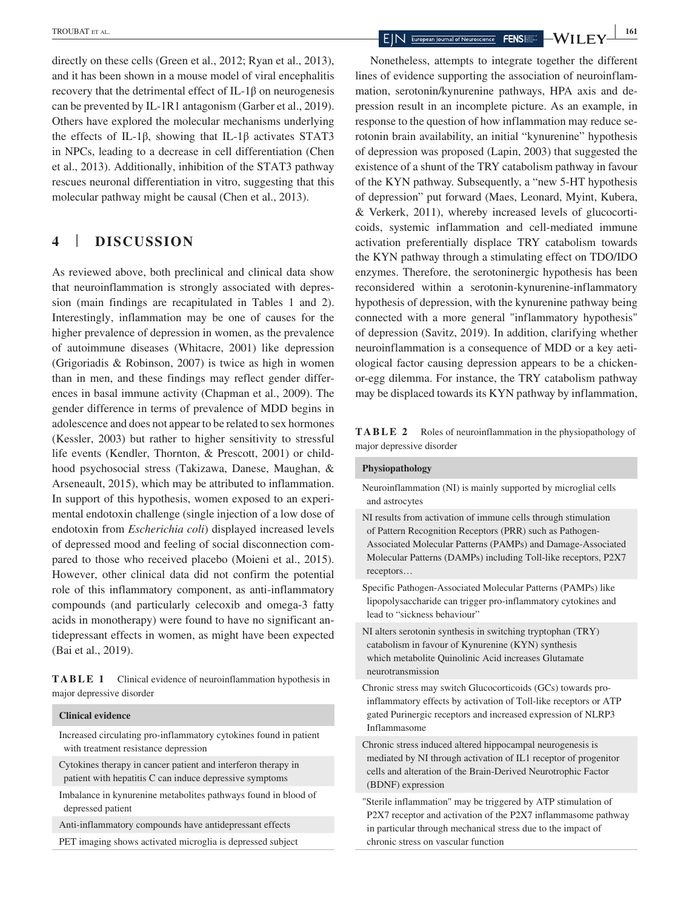directly on these cells (Green et al., 2012; Ryan et al., 2013), and it has been shown in a mouse model of viral encephalitis recovery that the detrimental effect of IL-1β on neurogenesis can be prevented by IL-1R1 antagonism (Garber et al., 2019). Others have explored the molecular mechanisms underlying the effects of IL-1β, showing that IL-1β activates STAT3 in NPCs, leading to a decrease in cell differentiation (Chen et al., 2013). Additionally, inhibition of the STAT3 pathway rescues neuronal differentiation in vitro, suggesting that this molecular pathway might be causal (Chen et al., 2013).

# **4** | **DISCUSSION**

As reviewed above, both preclinical and clinical data show that neuroinflammation is strongly associated with depression (main findings are recapitulated in Tables 1 and 2). Interestingly, inflammation may be one of causes for the higher prevalence of depression in women, as the prevalence of autoimmune diseases (Whitacre, 2001) like depression (Grigoriadis & Robinson, 2007) is twice as high in women than in men, and these findings may reflect gender differences in basal immune activity (Chapman et al., 2009). The gender difference in terms of prevalence of MDD begins in adolescence and does not appear to be related to sex hormones (Kessler, 2003) but rather to higher sensitivity to stressful life events (Kendler, Thornton, & Prescott, 2001) or childhood psychosocial stress (Takizawa, Danese, Maughan, & Arseneault, 2015), which may be attributed to inflammation. In support of this hypothesis, women exposed to an experimental endotoxin challenge (single injection of a low dose of endotoxin from *Escherichia coli*) displayed increased levels of depressed mood and feeling of social disconnection compared to those who received placebo (Moieni et al., 2015). However, other clinical data did not confirm the potential role of this inflammatory component, as anti-inflammatory compounds (and particularly celecoxib and omega-3 fatty acids in monotherapy) were found to have no significant antidepressant effects in women, as might have been expected (Bai et al., 2019).

**TABLE 1** Clinical evidence of neuroinflammation hypothesis in major depressive disorder

#### **Clinical evidence**

Increased circulating pro-inflammatory cytokines found in patient with treatment resistance depression

- Cytokines therapy in cancer patient and interferon therapy in patient with hepatitis C can induce depressive symptoms
- Imbalance in kynurenine metabolites pathways found in blood of depressed patient

Anti-inflammatory compounds have antidepressant effects

PET imaging shows activated microglia is depressed subject

Nonetheless, attempts to integrate together the different lines of evidence supporting the association of neuroinflammation, serotonin/kynurenine pathways, HPA axis and depression result in an incomplete picture. As an example, in response to the question of how inflammation may reduce serotonin brain availability, an initial "kynurenine" hypothesis of depression was proposed (Lapin, 2003) that suggested the existence of a shunt of the TRY catabolism pathway in favour of the KYN pathway. Subsequently, a "new 5-HT hypothesis of depression" put forward (Maes, Leonard, Myint, Kubera, & Verkerk, 2011), whereby increased levels of glucocorticoids, systemic inflammation and cell-mediated immune activation preferentially displace TRY catabolism towards the KYN pathway through a stimulating effect on TDO/IDO enzymes. Therefore, the serotoninergic hypothesis has been reconsidered within a serotonin-kynurenine-inflammatory hypothesis of depression, with the kynurenine pathway being connected with a more general "inflammatory hypothesis" of depression (Savitz, 2019). In addition, clarifying whether neuroinflammation is a consequence of MDD or a key aetiological factor causing depression appears to be a chickenor-egg dilemma. For instance, the TRY catabolism pathway may be displaced towards its KYN pathway by inflammation,

**TABLE 2** Roles of neuroinflammation in the physiopathology of major depressive disorder

#### **Physiopathology**

Neuroinflammation (NI) is mainly supported by microglial cells and astrocytes

NI results from activation of immune cells through stimulation of Pattern Recognition Receptors (PRR) such as Pathogen-Associated Molecular Patterns (PAMPs) and Damage-Associated Molecular Patterns (DAMPs) including Toll-like receptors, P2X7 receptors…

Specific Pathogen-Associated Molecular Patterns (PAMPs) like lipopolysaccharide can trigger pro-inflammatory cytokines and lead to "sickness behaviour"

- NI alters serotonin synthesis in switching tryptophan (TRY) catabolism in favour of Kynurenine (KYN) synthesis which metabolite Quinolinic Acid increases Glutamate neurotransmission
- Chronic stress may switch Glucocorticoids (GCs) towards proinflammatory effects by activation of Toll-like receptors or ATP gated Purinergic receptors and increased expression of NLRP3 Inflammasome
- Chronic stress induced altered hippocampal neurogenesis is mediated by NI through activation of IL1 receptor of progenitor cells and alteration of the Brain-Derived Neurotrophic Factor (BDNF) expression
- "Sterile inflammation" may be triggered by ATP stimulation of P2X7 receptor and activation of the P2X7 inflammasome pathway in particular through mechanical stress due to the impact of chronic stress on vascular function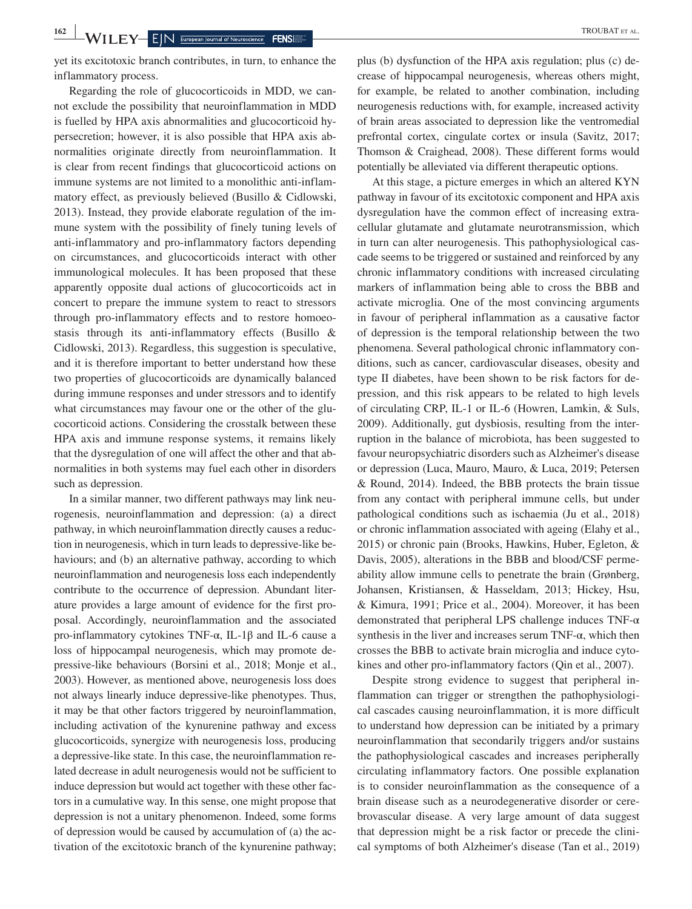yet its excitotoxic branch contributes, in turn, to enhance the inflammatory process.

Regarding the role of glucocorticoids in MDD, we cannot exclude the possibility that neuroinflammation in MDD is fuelled by HPA axis abnormalities and glucocorticoid hypersecretion; however, it is also possible that HPA axis abnormalities originate directly from neuroinflammation. It is clear from recent findings that glucocorticoid actions on immune systems are not limited to a monolithic anti-inflammatory effect, as previously believed (Busillo & Cidlowski, 2013). Instead, they provide elaborate regulation of the immune system with the possibility of finely tuning levels of anti-inflammatory and pro-inflammatory factors depending on circumstances, and glucocorticoids interact with other immunological molecules. It has been proposed that these apparently opposite dual actions of glucocorticoids act in concert to prepare the immune system to react to stressors through pro-inflammatory effects and to restore homoeostasis through its anti-inflammatory effects (Busillo & Cidlowski, 2013). Regardless, this suggestion is speculative, and it is therefore important to better understand how these two properties of glucocorticoids are dynamically balanced during immune responses and under stressors and to identify what circumstances may favour one or the other of the glucocorticoid actions. Considering the crosstalk between these HPA axis and immune response systems, it remains likely that the dysregulation of one will affect the other and that abnormalities in both systems may fuel each other in disorders such as depression.

In a similar manner, two different pathways may link neurogenesis, neuroinflammation and depression: (a) a direct pathway, in which neuroinflammation directly causes a reduction in neurogenesis, which in turn leads to depressive-like behaviours; and (b) an alternative pathway, according to which neuroinflammation and neurogenesis loss each independently contribute to the occurrence of depression. Abundant literature provides a large amount of evidence for the first proposal. Accordingly, neuroinflammation and the associated pro-inflammatory cytokines TNF-α, IL-1β and IL-6 cause a loss of hippocampal neurogenesis, which may promote depressive-like behaviours (Borsini et al., 2018; Monje et al., 2003). However, as mentioned above, neurogenesis loss does not always linearly induce depressive-like phenotypes. Thus, it may be that other factors triggered by neuroinflammation, including activation of the kynurenine pathway and excess glucocorticoids, synergize with neurogenesis loss, producing a depressive-like state. In this case, the neuroinflammation related decrease in adult neurogenesis would not be sufficient to induce depression but would act together with these other factors in a cumulative way. In this sense, one might propose that depression is not a unitary phenomenon. Indeed, some forms of depression would be caused by accumulation of (a) the activation of the excitotoxic branch of the kynurenine pathway;

plus (b) dysfunction of the HPA axis regulation; plus (c) decrease of hippocampal neurogenesis, whereas others might, for example, be related to another combination, including neurogenesis reductions with, for example, increased activity of brain areas associated to depression like the ventromedial prefrontal cortex, cingulate cortex or insula (Savitz, 2017; Thomson & Craighead, 2008). These different forms would potentially be alleviated via different therapeutic options.

At this stage, a picture emerges in which an altered KYN pathway in favour of its excitotoxic component and HPA axis dysregulation have the common effect of increasing extracellular glutamate and glutamate neurotransmission, which in turn can alter neurogenesis. This pathophysiological cascade seems to be triggered or sustained and reinforced by any chronic inflammatory conditions with increased circulating markers of inflammation being able to cross the BBB and activate microglia. One of the most convincing arguments in favour of peripheral inflammation as a causative factor of depression is the temporal relationship between the two phenomena. Several pathological chronic inflammatory conditions, such as cancer, cardiovascular diseases, obesity and type II diabetes, have been shown to be risk factors for depression, and this risk appears to be related to high levels of circulating CRP, IL-1 or IL-6 (Howren, Lamkin, & Suls, 2009). Additionally, gut dysbiosis, resulting from the interruption in the balance of microbiota, has been suggested to favour neuropsychiatric disorders such as Alzheimer's disease or depression (Luca, Mauro, Mauro, & Luca, 2019; Petersen & Round, 2014). Indeed, the BBB protects the brain tissue from any contact with peripheral immune cells, but under pathological conditions such as ischaemia (Ju et al., 2018) or chronic inflammation associated with ageing (Elahy et al., 2015) or chronic pain (Brooks, Hawkins, Huber, Egleton, & Davis, 2005), alterations in the BBB and blood/CSF permeability allow immune cells to penetrate the brain (Grønberg, Johansen, Kristiansen, & Hasseldam, 2013; Hickey, Hsu, & Kimura, 1991; Price et al., 2004). Moreover, it has been demonstrated that peripheral LPS challenge induces TNF-α synthesis in the liver and increases serum  $TNF-\alpha$ , which then crosses the BBB to activate brain microglia and induce cytokines and other pro-inflammatory factors (Qin et al., 2007).

Despite strong evidence to suggest that peripheral inflammation can trigger or strengthen the pathophysiological cascades causing neuroinflammation, it is more difficult to understand how depression can be initiated by a primary neuroinflammation that secondarily triggers and/or sustains the pathophysiological cascades and increases peripherally circulating inflammatory factors. One possible explanation is to consider neuroinflammation as the consequence of a brain disease such as a neurodegenerative disorder or cerebrovascular disease. A very large amount of data suggest that depression might be a risk factor or precede the clinical symptoms of both Alzheimer's disease (Tan et al., 2019)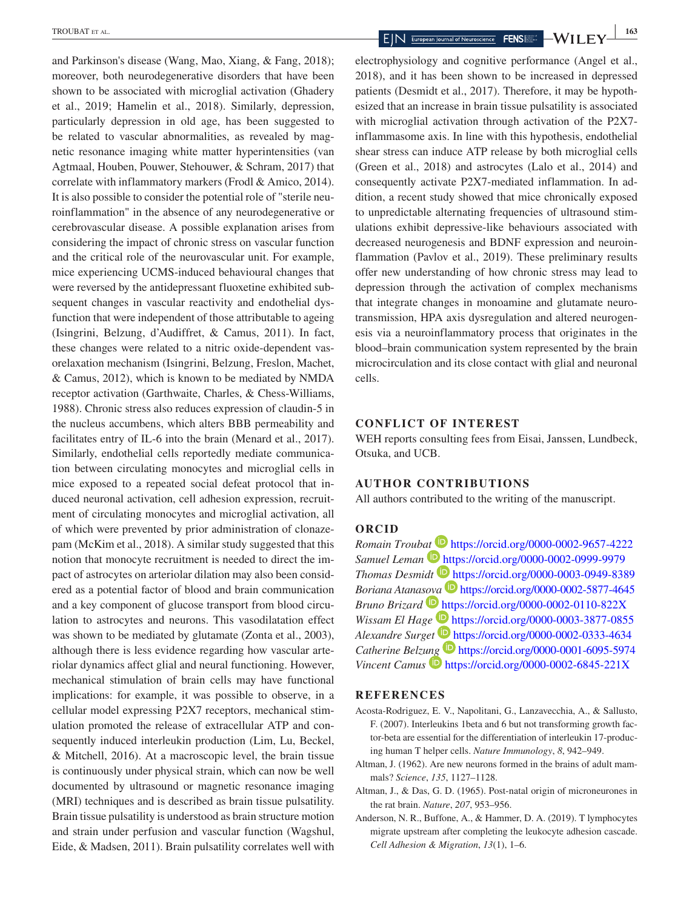and Parkinson's disease (Wang, Mao, Xiang, & Fang, 2018); moreover, both neurodegenerative disorders that have been shown to be associated with microglial activation (Ghadery et al., 2019; Hamelin et al., 2018). Similarly, depression, particularly depression in old age, has been suggested to be related to vascular abnormalities, as revealed by magnetic resonance imaging white matter hyperintensities (van Agtmaal, Houben, Pouwer, Stehouwer, & Schram, 2017) that correlate with inflammatory markers (Frodl & Amico, 2014). It is also possible to consider the potential role of "sterile neuroinflammation" in the absence of any neurodegenerative or cerebrovascular disease. A possible explanation arises from considering the impact of chronic stress on vascular function and the critical role of the neurovascular unit. For example, mice experiencing UCMS-induced behavioural changes that were reversed by the antidepressant fluoxetine exhibited subsequent changes in vascular reactivity and endothelial dysfunction that were independent of those attributable to ageing (Isingrini, Belzung, d'Audiffret, & Camus, 2011). In fact, these changes were related to a nitric oxide-dependent vasorelaxation mechanism (Isingrini, Belzung, Freslon, Machet, & Camus, 2012), which is known to be mediated by NMDA receptor activation (Garthwaite, Charles, & Chess-Williams, 1988). Chronic stress also reduces expression of claudin-5 in the nucleus accumbens, which alters BBB permeability and facilitates entry of IL-6 into the brain (Menard et al., 2017). Similarly, endothelial cells reportedly mediate communication between circulating monocytes and microglial cells in mice exposed to a repeated social defeat protocol that induced neuronal activation, cell adhesion expression, recruitment of circulating monocytes and microglial activation, all of which were prevented by prior administration of clonazepam (McKim et al., 2018). A similar study suggested that this notion that monocyte recruitment is needed to direct the impact of astrocytes on arteriolar dilation may also been considered as a potential factor of blood and brain communication and a key component of glucose transport from blood circulation to astrocytes and neurons. This vasodilatation effect was shown to be mediated by glutamate (Zonta et al., 2003), although there is less evidence regarding how vascular arteriolar dynamics affect glial and neural functioning. However, mechanical stimulation of brain cells may have functional implications: for example, it was possible to observe, in a cellular model expressing P2X7 receptors, mechanical stimulation promoted the release of extracellular ATP and consequently induced interleukin production (Lim, Lu, Beckel, & Mitchell, 2016). At a macroscopic level, the brain tissue is continuously under physical strain, which can now be well documented by ultrasound or magnetic resonance imaging (MRI) techniques and is described as brain tissue pulsatility. Brain tissue pulsatility is understood as brain structure motion and strain under perfusion and vascular function (Wagshul, Eide, & Madsen, 2011). Brain pulsatility correlates well with

electrophysiology and cognitive performance (Angel et al., 2018), and it has been shown to be increased in depressed patients (Desmidt et al., 2017). Therefore, it may be hypothesized that an increase in brain tissue pulsatility is associated with microglial activation through activation of the P2X7 inflammasome axis. In line with this hypothesis, endothelial shear stress can induce ATP release by both microglial cells (Green et al., 2018) and astrocytes (Lalo et al., 2014) and consequently activate P2X7-mediated inflammation. In addition, a recent study showed that mice chronically exposed to unpredictable alternating frequencies of ultrasound stimulations exhibit depressive-like behaviours associated with decreased neurogenesis and BDNF expression and neuroinflammation (Pavlov et al., 2019). These preliminary results offer new understanding of how chronic stress may lead to depression through the activation of complex mechanisms that integrate changes in monoamine and glutamate neurotransmission, HPA axis dysregulation and altered neurogenesis via a neuroinflammatory process that originates in the blood–brain communication system represented by the brain microcirculation and its close contact with glial and neuronal cells.

#### **CONFLICT OF INTEREST**

WEH reports consulting fees from Eisai, Janssen, Lundbeck, Otsuka, and UCB.

#### **AUTHOR CONTRIBUTIONS**

All authors contributed to the writing of the manuscript.

#### **ORCID**

*Romain Troub[at](https://orcid.org/0000-0002-0999-9979)* **ID** <https://orcid.org/0000-0002-9657-4222> *Samuel Leman* <https://orcid.org/0000-0002-0999-9979> *Thomas Desmidt* <https://orcid.org/0000-0003-0949-8389> *Boriana Atana[sova](https://orcid.org/0000-0002-0110-822X)* **<https://orcid.org/0000-0002-5877-4645>** *Bruno Brizard* <https://orcid.org/0000-0002-0110-822X> *Wissam El Hage* **b** <https://orcid.org/0000-0003-3877-0855> *Alexandre Surget* <https://orcid.org/0000-0002-0333-4634> *Catherine Belz[ung](https://orcid.org/0000-0002-6845-221X)* <https://orcid.org/0000-0001-6095-5974> *Vincent Camus* **b** <https://orcid.org/0000-0002-6845-221X>

#### **REFERENCES**

- Acosta-Rodriguez, E. V., Napolitani, G., Lanzavecchia, A., & Sallusto, F. (2007). Interleukins 1beta and 6 but not transforming growth factor-beta are essential for the differentiation of interleukin 17-producing human T helper cells. *Nature Immunology*, *8*, 942–949.
- Altman, J. (1962). Are new neurons formed in the brains of adult mammals? *Science*, *135*, 1127–1128.
- Altman, J., & Das, G. D. (1965). Post-natal origin of microneurones in the rat brain. *Nature*, *207*, 953–956.
- Anderson, N. R., Buffone, A., & Hammer, D. A. (2019). T lymphocytes migrate upstream after completing the leukocyte adhesion cascade. *Cell Adhesion & Migration*, *13*(1), 1–6.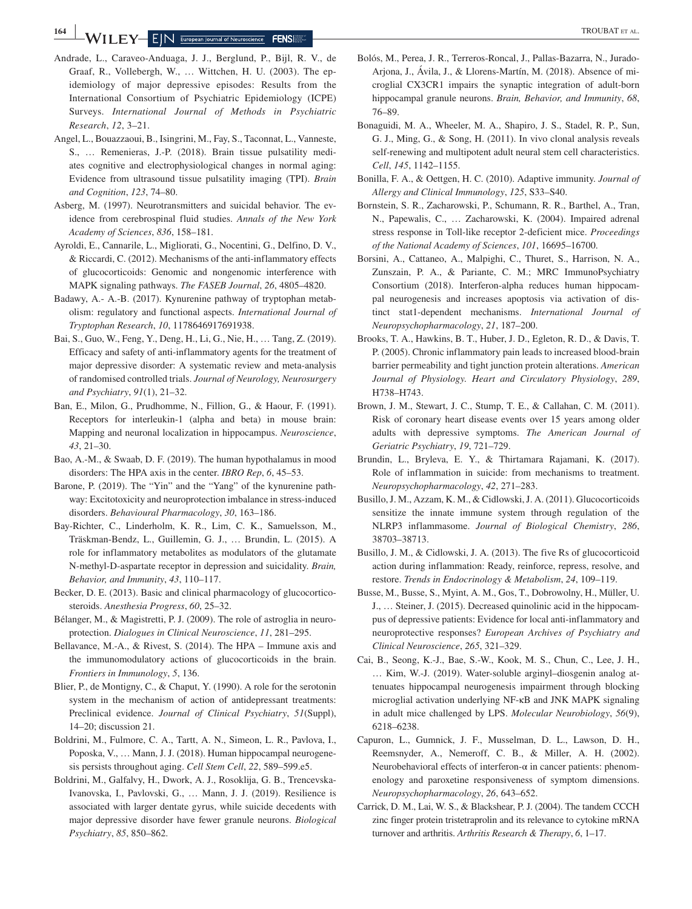- Andrade, L., Caraveo-Anduaga, J. J., Berglund, P., Bijl, R. V., de Graaf, R., Vollebergh, W., … Wittchen, H. U. (2003). The epidemiology of major depressive episodes: Results from the International Consortium of Psychiatric Epidemiology (ICPE) Surveys. *International Journal of Methods in Psychiatric Research*, *12*, 3–21.
- Angel, L., Bouazzaoui, B., Isingrini, M., Fay, S., Taconnat, L., Vanneste, S., … Remenieras, J.-P. (2018). Brain tissue pulsatility mediates cognitive and electrophysiological changes in normal aging: Evidence from ultrasound tissue pulsatility imaging (TPI). *Brain and Cognition*, *123*, 74–80.
- Asberg, M. (1997). Neurotransmitters and suicidal behavior. The evidence from cerebrospinal fluid studies. *Annals of the New York Academy of Sciences*, *836*, 158–181.
- Ayroldi, E., Cannarile, L., Migliorati, G., Nocentini, G., Delfino, D. V., & Riccardi, C. (2012). Mechanisms of the anti-inflammatory effects of glucocorticoids: Genomic and nongenomic interference with MAPK signaling pathways. *The FASEB Journal*, *26*, 4805–4820.
- Badawy, A.- A.-B. (2017). Kynurenine pathway of tryptophan metabolism: regulatory and functional aspects. *International Journal of Tryptophan Research*, *10*, 1178646917691938.
- Bai, S., Guo, W., Feng, Y., Deng, H., Li, G., Nie, H., … Tang, Z. (2019). Efficacy and safety of anti-inflammatory agents for the treatment of major depressive disorder: A systematic review and meta-analysis of randomised controlled trials. *Journal of Neurology, Neurosurgery and Psychiatry*, *91*(1), 21–32.
- Ban, E., Milon, G., Prudhomme, N., Fillion, G., & Haour, F. (1991). Receptors for interleukin-1 (alpha and beta) in mouse brain: Mapping and neuronal localization in hippocampus. *Neuroscience*, *43*, 21–30.
- Bao, A.-M., & Swaab, D. F. (2019). The human hypothalamus in mood disorders: The HPA axis in the center. *IBRO Rep*, *6*, 45–53.
- Barone, P. (2019). The "Yin" and the "Yang" of the kynurenine pathway: Excitotoxicity and neuroprotection imbalance in stress-induced disorders. *Behavioural Pharmacology*, *30*, 163–186.
- Bay-Richter, C., Linderholm, K. R., Lim, C. K., Samuelsson, M., Träskman-Bendz, L., Guillemin, G. J., … Brundin, L. (2015). A role for inflammatory metabolites as modulators of the glutamate N-methyl-D-aspartate receptor in depression and suicidality. *Brain, Behavior, and Immunity*, *43*, 110–117.
- Becker, D. E. (2013). Basic and clinical pharmacology of glucocorticosteroids. *Anesthesia Progress*, *60*, 25–32.
- Bélanger, M., & Magistretti, P. J. (2009). The role of astroglia in neuroprotection. *Dialogues in Clinical Neuroscience*, *11*, 281–295.
- Bellavance, M.-A., & Rivest, S. (2014). The HPA Immune axis and the immunomodulatory actions of glucocorticoids in the brain. *Frontiers in Immunology*, *5*, 136.
- Blier, P., de Montigny, C., & Chaput, Y. (1990). A role for the serotonin system in the mechanism of action of antidepressant treatments: Preclinical evidence. *Journal of Clinical Psychiatry*, *51*(Suppl), 14–20; discussion 21.
- Boldrini, M., Fulmore, C. A., Tartt, A. N., Simeon, L. R., Pavlova, I., Poposka, V., … Mann, J. J. (2018). Human hippocampal neurogenesis persists throughout aging. *Cell Stem Cell*, *22*, 589–599.e5.
- Boldrini, M., Galfalvy, H., Dwork, A. J., Rosoklija, G. B., Trencevska-Ivanovska, I., Pavlovski, G., … Mann, J. J. (2019). Resilience is associated with larger dentate gyrus, while suicide decedents with major depressive disorder have fewer granule neurons. *Biological Psychiatry*, *85*, 850–862.
- Bolós, M., Perea, J. R., Terreros-Roncal, J., Pallas-Bazarra, N., Jurado-Arjona, J., Ávila, J., & Llorens-Martín, M. (2018). Absence of microglial CX3CR1 impairs the synaptic integration of adult-born hippocampal granule neurons. *Brain, Behavior, and Immunity*, *68*, 76–89.
- Bonaguidi, M. A., Wheeler, M. A., Shapiro, J. S., Stadel, R. P., Sun, G. J., Ming, G., & Song, H. (2011). In vivo clonal analysis reveals self-renewing and multipotent adult neural stem cell characteristics. *Cell*, *145*, 1142–1155.
- Bonilla, F. A., & Oettgen, H. C. (2010). Adaptive immunity. *Journal of Allergy and Clinical Immunology*, *125*, S33–S40.
- Bornstein, S. R., Zacharowski, P., Schumann, R. R., Barthel, A., Tran, N., Papewalis, C., … Zacharowski, K. (2004). Impaired adrenal stress response in Toll-like receptor 2-deficient mice. *Proceedings of the National Academy of Sciences*, *101*, 16695–16700.
- Borsini, A., Cattaneo, A., Malpighi, C., Thuret, S., Harrison, N. A., Zunszain, P. A., & Pariante, C. M.; MRC ImmunoPsychiatry Consortium (2018). Interferon-alpha reduces human hippocampal neurogenesis and increases apoptosis via activation of distinct stat1-dependent mechanisms. *International Journal of Neuropsychopharmacology*, *21*, 187–200.
- Brooks, T. A., Hawkins, B. T., Huber, J. D., Egleton, R. D., & Davis, T. P. (2005). Chronic inflammatory pain leads to increased blood-brain barrier permeability and tight junction protein alterations. *American Journal of Physiology. Heart and Circulatory Physiology*, *289*, H738–H743.
- Brown, J. M., Stewart, J. C., Stump, T. E., & Callahan, C. M. (2011). Risk of coronary heart disease events over 15 years among older adults with depressive symptoms. *The American Journal of Geriatric Psychiatry*, *19*, 721–729.
- Brundin, L., Bryleva, E. Y., & Thirtamara Rajamani, K. (2017). Role of inflammation in suicide: from mechanisms to treatment. *Neuropsychopharmacology*, *42*, 271–283.
- Busillo, J. M., Azzam, K. M., & Cidlowski, J. A. (2011). Glucocorticoids sensitize the innate immune system through regulation of the NLRP3 inflammasome. *Journal of Biological Chemistry*, *286*, 38703–38713.
- Busillo, J. M., & Cidlowski, J. A. (2013). The five Rs of glucocorticoid action during inflammation: Ready, reinforce, repress, resolve, and restore. *Trends in Endocrinology & Metabolism*, *24*, 109–119.
- Busse, M., Busse, S., Myint, A. M., Gos, T., Dobrowolny, H., Müller, U. J., … Steiner, J. (2015). Decreased quinolinic acid in the hippocampus of depressive patients: Evidence for local anti-inflammatory and neuroprotective responses? *European Archives of Psychiatry and Clinical Neuroscience*, *265*, 321–329.
- Cai, B., Seong, K.-J., Bae, S.-W., Kook, M. S., Chun, C., Lee, J. H., … Kim, W.-J. (2019). Water-soluble arginyl–diosgenin analog attenuates hippocampal neurogenesis impairment through blocking microglial activation underlying NF-κB and JNK MAPK signaling in adult mice challenged by LPS. *Molecular Neurobiology*, *56*(9), 6218–6238.
- Capuron, L., Gumnick, J. F., Musselman, D. L., Lawson, D. H., Reemsnyder, A., Nemeroff, C. B., & Miller, A. H. (2002). Neurobehavioral effects of interferon-α in cancer patients: phenomenology and paroxetine responsiveness of symptom dimensions. *Neuropsychopharmacology*, *26*, 643–652.
- Carrick, D. M., Lai, W. S., & Blackshear, P. J. (2004). The tandem CCCH zinc finger protein tristetraprolin and its relevance to cytokine mRNA turnover and arthritis. *Arthritis Research & Therapy*, *6*, 1–17.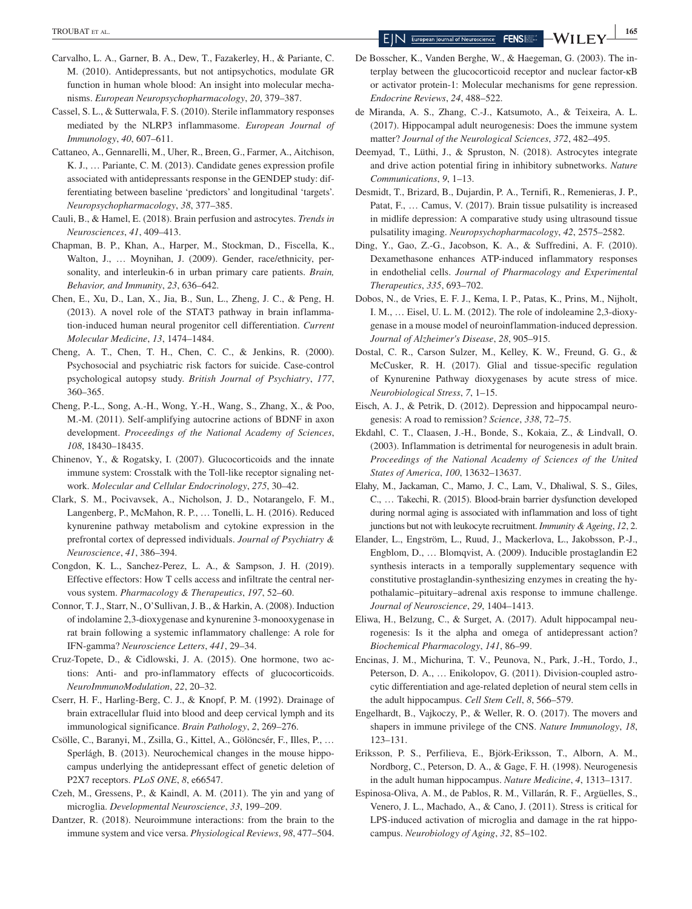- Carvalho, L. A., Garner, B. A., Dew, T., Fazakerley, H., & Pariante, C. M. (2010). Antidepressants, but not antipsychotics, modulate GR function in human whole blood: An insight into molecular mechanisms. *European Neuropsychopharmacology*, *20*, 379–387.
- Cassel, S. L., & Sutterwala, F. S. (2010). Sterile inflammatory responses mediated by the NLRP3 inflammasome. *European Journal of Immunology*, *40*, 607–611.
- Cattaneo, A., Gennarelli, M., Uher, R., Breen, G., Farmer, A., Aitchison, K. J., … Pariante, C. M. (2013). Candidate genes expression profile associated with antidepressants response in the GENDEP study: differentiating between baseline 'predictors' and longitudinal 'targets'. *Neuropsychopharmacology*, *38*, 377–385.
- Cauli, B., & Hamel, E. (2018). Brain perfusion and astrocytes. *Trends in Neurosciences*, *41*, 409–413.
- Chapman, B. P., Khan, A., Harper, M., Stockman, D., Fiscella, K., Walton, J., … Moynihan, J. (2009). Gender, race/ethnicity, personality, and interleukin-6 in urban primary care patients. *Brain, Behavior, and Immunity*, *23*, 636–642.
- Chen, E., Xu, D., Lan, X., Jia, B., Sun, L., Zheng, J. C., & Peng, H. (2013). A novel role of the STAT3 pathway in brain inflammation-induced human neural progenitor cell differentiation. *Current Molecular Medicine*, *13*, 1474–1484.
- Cheng, A. T., Chen, T. H., Chen, C. C., & Jenkins, R. (2000). Psychosocial and psychiatric risk factors for suicide. Case-control psychological autopsy study. *British Journal of Psychiatry*, *177*, 360–365.
- Cheng, P.-L., Song, A.-H., Wong, Y.-H., Wang, S., Zhang, X., & Poo, M.-M. (2011). Self-amplifying autocrine actions of BDNF in axon development. *Proceedings of the National Academy of Sciences*, *108*, 18430–18435.
- Chinenov, Y., & Rogatsky, I. (2007). Glucocorticoids and the innate immune system: Crosstalk with the Toll-like receptor signaling network. *Molecular and Cellular Endocrinology*, *275*, 30–42.
- Clark, S. M., Pocivavsek, A., Nicholson, J. D., Notarangelo, F. M., Langenberg, P., McMahon, R. P., … Tonelli, L. H. (2016). Reduced kynurenine pathway metabolism and cytokine expression in the prefrontal cortex of depressed individuals. *Journal of Psychiatry & Neuroscience*, *41*, 386–394.
- Congdon, K. L., Sanchez-Perez, L. A., & Sampson, J. H. (2019). Effective effectors: How T cells access and infiltrate the central nervous system. *Pharmacology & Therapeutics*, *197*, 52–60.
- Connor, T. J., Starr, N., O'Sullivan, J. B., & Harkin, A. (2008). Induction of indolamine 2,3-dioxygenase and kynurenine 3-monooxygenase in rat brain following a systemic inflammatory challenge: A role for IFN-gamma? *Neuroscience Letters*, *441*, 29–34.
- Cruz-Topete, D., & Cidlowski, J. A. (2015). One hormone, two actions: Anti- and pro-inflammatory effects of glucocorticoids. *NeuroImmunoModulation*, *22*, 20–32.
- Cserr, H. F., Harling-Berg, C. J., & Knopf, P. M. (1992). Drainage of brain extracellular fluid into blood and deep cervical lymph and its immunological significance. *Brain Pathology*, *2*, 269–276.
- Csölle, C., Baranyi, M., Zsilla, G., Kittel, A., Gölöncsér, F., Illes, P., … Sperlágh, B. (2013). Neurochemical changes in the mouse hippocampus underlying the antidepressant effect of genetic deletion of P2X7 receptors. *PLoS ONE*, *8*, e66547.
- Czeh, M., Gressens, P., & Kaindl, A. M. (2011). The yin and yang of microglia. *Developmental Neuroscience*, *33*, 199–209.
- Dantzer, R. (2018). Neuroimmune interactions: from the brain to the immune system and vice versa. *Physiological Reviews*, *98*, 477–504.
- De Bosscher, K., Vanden Berghe, W., & Haegeman, G. (2003). The interplay between the glucocorticoid receptor and nuclear factor-κB or activator protein-1: Molecular mechanisms for gene repression. *Endocrine Reviews*, *24*, 488–522.
- de Miranda, A. S., Zhang, C.-J., Katsumoto, A., & Teixeira, A. L. (2017). Hippocampal adult neurogenesis: Does the immune system matter? *Journal of the Neurological Sciences*, *372*, 482–495.
- Deemyad, T., Lüthi, J., & Spruston, N. (2018). Astrocytes integrate and drive action potential firing in inhibitory subnetworks. *Nature Communications*, *9*, 1–13.
- Desmidt, T., Brizard, B., Dujardin, P. A., Ternifi, R., Remenieras, J. P., Patat, F., … Camus, V. (2017). Brain tissue pulsatility is increased in midlife depression: A comparative study using ultrasound tissue pulsatility imaging. *Neuropsychopharmacology*, *42*, 2575–2582.
- Ding, Y., Gao, Z.-G., Jacobson, K. A., & Suffredini, A. F. (2010). Dexamethasone enhances ATP-induced inflammatory responses in endothelial cells. *Journal of Pharmacology and Experimental Therapeutics*, *335*, 693–702.
- Dobos, N., de Vries, E. F. J., Kema, I. P., Patas, K., Prins, M., Nijholt, I. M., … Eisel, U. L. M. (2012). The role of indoleamine 2,3-dioxygenase in a mouse model of neuroinflammation-induced depression. *Journal of Alzheimer's Disease*, *28*, 905–915.
- Dostal, C. R., Carson Sulzer, M., Kelley, K. W., Freund, G. G., & McCusker, R. H. (2017). Glial and tissue-specific regulation of Kynurenine Pathway dioxygenases by acute stress of mice. *Neurobiological Stress*, *7*, 1–15.
- Eisch, A. J., & Petrik, D. (2012). Depression and hippocampal neurogenesis: A road to remission? *Science*, *338*, 72–75.
- Ekdahl, C. T., Claasen, J.-H., Bonde, S., Kokaia, Z., & Lindvall, O. (2003). Inflammation is detrimental for neurogenesis in adult brain. *Proceedings of the National Academy of Sciences of the United States of America*, *100*, 13632–13637.
- Elahy, M., Jackaman, C., Mamo, J. C., Lam, V., Dhaliwal, S. S., Giles, C., … Takechi, R. (2015). Blood-brain barrier dysfunction developed during normal aging is associated with inflammation and loss of tight junctions but not with leukocyte recruitment. *Immunity & Ageing*, *12*, 2.
- Elander, L., Engström, L., Ruud, J., Mackerlova, L., Jakobsson, P.-J., Engblom, D., … Blomqvist, A. (2009). Inducible prostaglandin E2 synthesis interacts in a temporally supplementary sequence with constitutive prostaglandin-synthesizing enzymes in creating the hypothalamic–pituitary–adrenal axis response to immune challenge. *Journal of Neuroscience*, *29*, 1404–1413.
- Eliwa, H., Belzung, C., & Surget, A. (2017). Adult hippocampal neurogenesis: Is it the alpha and omega of antidepressant action? *Biochemical Pharmacology*, *141*, 86–99.
- Encinas, J. M., Michurina, T. V., Peunova, N., Park, J.-H., Tordo, J., Peterson, D. A., … Enikolopov, G. (2011). Division-coupled astrocytic differentiation and age-related depletion of neural stem cells in the adult hippocampus. *Cell Stem Cell*, *8*, 566–579.
- Engelhardt, B., Vajkoczy, P., & Weller, R. O. (2017). The movers and shapers in immune privilege of the CNS. *Nature Immunology*, *18*, 123–131.
- Eriksson, P. S., Perfilieva, E., Björk-Eriksson, T., Alborn, A. M., Nordborg, C., Peterson, D. A., & Gage, F. H. (1998). Neurogenesis in the adult human hippocampus. *Nature Medicine*, *4*, 1313–1317.
- Espinosa-Oliva, A. M., de Pablos, R. M., Villarán, R. F., Argüelles, S., Venero, J. L., Machado, A., & Cano, J. (2011). Stress is critical for LPS-induced activation of microglia and damage in the rat hippocampus. *Neurobiology of Aging*, *32*, 85–102.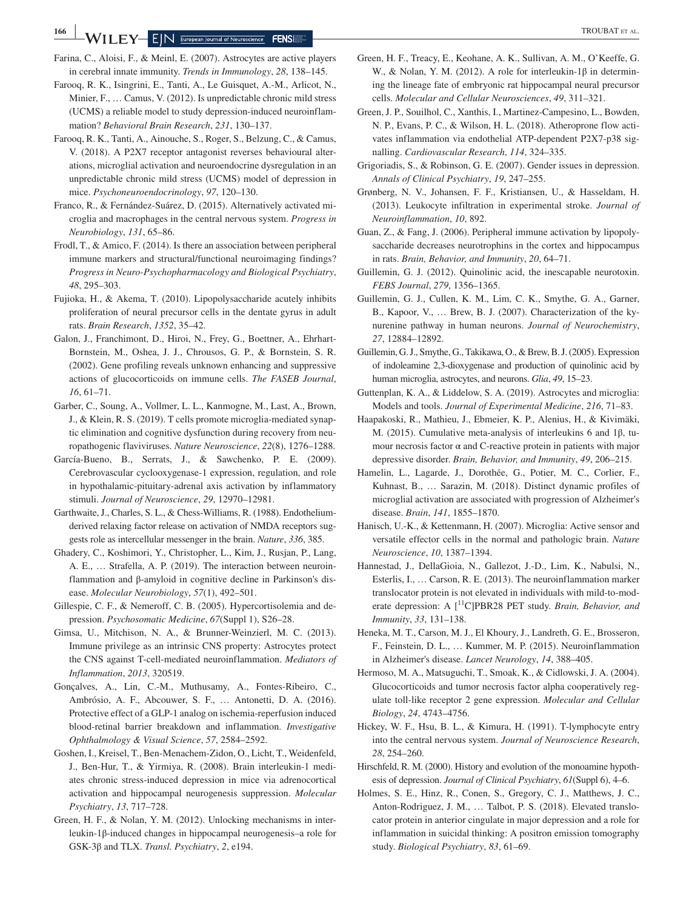Farina, C., Aloisi, F., & Meinl, E. (2007). Astrocytes are active players in cerebral innate immunity. *Trends in Immunology*, *28*, 138–145.

- Farooq, R. K., Isingrini, E., Tanti, A., Le Guisquet, A.-M., Arlicot, N., Minier, F., … Camus, V. (2012). Is unpredictable chronic mild stress (UCMS) a reliable model to study depression-induced neuroinflammation? *Behavioral Brain Research*, *231*, 130–137.
- Farooq, R. K., Tanti, A., Ainouche, S., Roger, S., Belzung, C., & Camus, V. (2018). A P2X7 receptor antagonist reverses behavioural alterations, microglial activation and neuroendocrine dysregulation in an unpredictable chronic mild stress (UCMS) model of depression in mice. *Psychoneuroendocrinology*, *97*, 120–130.
- Franco, R., & Fernández-Suárez, D. (2015). Alternatively activated microglia and macrophages in the central nervous system. *Progress in Neurobiology*, *131*, 65–86.
- Frodl, T., & Amico, F. (2014). Is there an association between peripheral immune markers and structural/functional neuroimaging findings? *Progress in Neuro-Psychopharmacology and Biological Psychiatry*, *48*, 295–303.
- Fujioka, H., & Akema, T. (2010). Lipopolysaccharide acutely inhibits proliferation of neural precursor cells in the dentate gyrus in adult rats. *Brain Research*, *1352*, 35–42.
- Galon, J., Franchimont, D., Hiroi, N., Frey, G., Boettner, A., Ehrhart-Bornstein, M., Oshea, J. J., Chrousos, G. P., & Bornstein, S. R. (2002). Gene profiling reveals unknown enhancing and suppressive actions of glucocorticoids on immune cells. *The FASEB Journal*, *16*, 61–71.
- Garber, C., Soung, A., Vollmer, L. L., Kanmogne, M., Last, A., Brown, J., & Klein, R. S. (2019). T cells promote microglia-mediated synaptic elimination and cognitive dysfunction during recovery from neuropathogenic flaviviruses. *Nature Neuroscience*, *22*(8), 1276–1288.
- García-Bueno, B., Serrats, J., & Sawchenko, P. E. (2009). Cerebrovascular cyclooxygenase-1 expression, regulation, and role in hypothalamic-pituitary-adrenal axis activation by inflammatory stimuli. *Journal of Neuroscience*, *29*, 12970–12981.
- Garthwaite, J., Charles, S. L., & Chess-Williams, R. (1988). Endotheliumderived relaxing factor release on activation of NMDA receptors suggests role as intercellular messenger in the brain. *Nature*, *336*, 385.
- Ghadery, C., Koshimori, Y., Christopher, L., Kim, J., Rusjan, P., Lang, A. E., … Strafella, A. P. (2019). The interaction between neuroinflammation and β-amyloid in cognitive decline in Parkinson's disease. *Molecular Neurobiology*, *57*(1), 492–501.
- Gillespie, C. F., & Nemeroff, C. B. (2005). Hypercortisolemia and depression. *Psychosomatic Medicine*, *67*(Suppl 1), S26–28.
- Gimsa, U., Mitchison, N. A., & Brunner-Weinzierl, M. C. (2013). Immune privilege as an intrinsic CNS property: Astrocytes protect the CNS against T-cell-mediated neuroinflammation. *Mediators of Inflammation*, *2013*, 320519.
- Gonçalves, A., Lin, C.-M., Muthusamy, A., Fontes-Ribeiro, C., Ambrósio, A. F., Abcouwer, S. F., … Antonetti, D. A. (2016). Protective effect of a GLP-1 analog on ischemia-reperfusion induced blood-retinal barrier breakdown and inflammation. *Investigative Ophthalmology & Visual Science*, *57*, 2584–2592.
- Goshen, I., Kreisel, T., Ben-Menachem-Zidon, O., Licht, T., Weidenfeld, J., Ben-Hur, T., & Yirmiya, R. (2008). Brain interleukin-1 mediates chronic stress-induced depression in mice via adrenocortical activation and hippocampal neurogenesis suppression. *Molecular Psychiatry*, *13*, 717–728.
- Green, H. F., & Nolan, Y. M. (2012). Unlocking mechanisms in interleukin-1β-induced changes in hippocampal neurogenesis–a role for GSK-3β and TLX. *Transl. Psychiatry*, *2*, e194.
- Green, H. F., Treacy, E., Keohane, A. K., Sullivan, A. M., O'Keeffe, G. W., & Nolan, Y. M. (2012). A role for interleukin-1β in determining the lineage fate of embryonic rat hippocampal neural precursor cells. *Molecular and Cellular Neurosciences*, *49*, 311–321.
- Green, J. P., Souilhol, C., Xanthis, I., Martinez-Campesino, L., Bowden, N. P., Evans, P. C., & Wilson, H. L. (2018). Atheroprone flow activates inflammation via endothelial ATP-dependent P2X7-p38 signalling. *Cardiovascular Research*, *114*, 324–335.
- Grigoriadis, S., & Robinson, G. E. (2007). Gender issues in depression. *Annals of Clinical Psychiatry*, *19*, 247–255.
- Grønberg, N. V., Johansen, F. F., Kristiansen, U., & Hasseldam, H. (2013). Leukocyte infiltration in experimental stroke. *Journal of Neuroinflammation*, *10*, 892.
- Guan, Z., & Fang, J. (2006). Peripheral immune activation by lipopolysaccharide decreases neurotrophins in the cortex and hippocampus in rats. *Brain, Behavior, and Immunity*, *20*, 64–71.
- Guillemin, G. J. (2012). Quinolinic acid, the inescapable neurotoxin. *FEBS Journal*, *279*, 1356–1365.
- Guillemin, G. J., Cullen, K. M., Lim, C. K., Smythe, G. A., Garner, B., Kapoor, V., … Brew, B. J. (2007). Characterization of the kynurenine pathway in human neurons. *Journal of Neurochemistry*, *27*, 12884–12892.
- Guillemin, G. J., Smythe, G., Takikawa, O., & Brew, B. J. (2005). Expression of indoleamine 2,3-dioxygenase and production of quinolinic acid by human microglia, astrocytes, and neurons. *Glia*, *49*, 15–23.
- Guttenplan, K. A., & Liddelow, S. A. (2019). Astrocytes and microglia: Models and tools. *Journal of Experimental Medicine*, *216*, 71–83.
- Haapakoski, R., Mathieu, J., Ebmeier, K. P., Alenius, H., & Kivimäki, M. (2015). Cumulative meta-analysis of interleukins 6 and 1β, tumour necrosis factor  $α$  and C-reactive protein in patients with major depressive disorder. *Brain, Behavior, and Immunity*, *49*, 206–215.
- Hamelin, L., Lagarde, J., Dorothée, G., Potier, M. C., Corlier, F., Kuhnast, B., … Sarazin, M. (2018). Distinct dynamic profiles of microglial activation are associated with progression of Alzheimer's disease. *Brain*, *141*, 1855–1870.
- Hanisch, U.-K., & Kettenmann, H. (2007). Microglia: Active sensor and versatile effector cells in the normal and pathologic brain. *Nature Neuroscience*, *10*, 1387–1394.
- Hannestad, J., DellaGioia, N., Gallezot, J.-D., Lim, K., Nabulsi, N., Esterlis, I., … Carson, R. E. (2013). The neuroinflammation marker translocator protein is not elevated in individuals with mild-to-moderate depression: A [<sup>11</sup>C]PBR28 PET study. *Brain, Behavior, and Immunity*, *33*, 131–138.
- Heneka, M. T., Carson, M. J., El Khoury, J., Landreth, G. E., Brosseron, F., Feinstein, D. L., … Kummer, M. P. (2015). Neuroinflammation in Alzheimer's disease. *Lancet Neurology*, *14*, 388–405.
- Hermoso, M. A., Matsuguchi, T., Smoak, K., & Cidlowski, J. A. (2004). Glucocorticoids and tumor necrosis factor alpha cooperatively regulate toll-like receptor 2 gene expression. *Molecular and Cellular Biology*, *24*, 4743–4756.
- Hickey, W. F., Hsu, B. L., & Kimura, H. (1991). T-lymphocyte entry into the central nervous system. *Journal of Neuroscience Research*, *28*, 254–260.
- Hirschfeld, R. M. (2000). History and evolution of the monoamine hypothesis of depression. *Journal of Clinical Psychiatry*, *61*(Suppl 6), 4–6.
- Holmes, S. E., Hinz, R., Conen, S., Gregory, C. J., Matthews, J. C., Anton-Rodriguez, J. M., … Talbot, P. S. (2018). Elevated translocator protein in anterior cingulate in major depression and a role for inflammation in suicidal thinking: A positron emission tomography study. *Biological Psychiatry*, *83*, 61–69.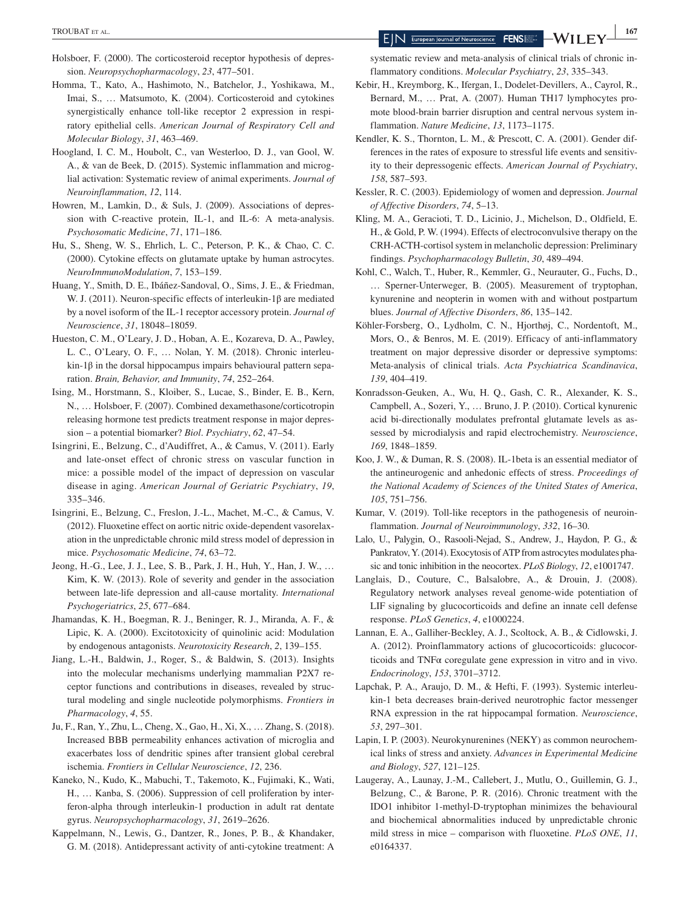- Holsboer, F. (2000). The corticosteroid receptor hypothesis of depression. *Neuropsychopharmacology*, *23*, 477–501.
- Homma, T., Kato, A., Hashimoto, N., Batchelor, J., Yoshikawa, M., Imai, S., … Matsumoto, K. (2004). Corticosteroid and cytokines synergistically enhance toll-like receptor 2 expression in respiratory epithelial cells. *American Journal of Respiratory Cell and Molecular Biology*, *31*, 463–469.
- Hoogland, I. C. M., Houbolt, C., van Westerloo, D. J., van Gool, W. A., & van de Beek, D. (2015). Systemic inflammation and microglial activation: Systematic review of animal experiments. *Journal of Neuroinflammation*, *12*, 114.
- Howren, M., Lamkin, D., & Suls, J. (2009). Associations of depression with C-reactive protein, IL-1, and IL-6: A meta-analysis. *Psychosomatic Medicine*, *71*, 171–186.
- Hu, S., Sheng, W. S., Ehrlich, L. C., Peterson, P. K., & Chao, C. C. (2000). Cytokine effects on glutamate uptake by human astrocytes. *NeuroImmunoModulation*, *7*, 153–159.
- Huang, Y., Smith, D. E., Ibáñez-Sandoval, O., Sims, J. E., & Friedman, W. J. (2011). Neuron-specific effects of interleukin-1β are mediated by a novel isoform of the IL-1 receptor accessory protein. *Journal of Neuroscience*, *31*, 18048–18059.
- Hueston, C. M., O'Leary, J. D., Hoban, A. E., Kozareva, D. A., Pawley, L. C., O'Leary, O. F., … Nolan, Y. M. (2018). Chronic interleukin-1β in the dorsal hippocampus impairs behavioural pattern separation. *Brain, Behavior, and Immunity*, *74*, 252–264.
- Ising, M., Horstmann, S., Kloiber, S., Lucae, S., Binder, E. B., Kern, N., … Holsboer, F. (2007). Combined dexamethasone/corticotropin releasing hormone test predicts treatment response in major depression – a potential biomarker? *Biol*. *Psychiatry*, *62*, 47–54.
- Isingrini, E., Belzung, C., d'Audiffret, A., & Camus, V. (2011). Early and late-onset effect of chronic stress on vascular function in mice: a possible model of the impact of depression on vascular disease in aging. *American Journal of Geriatric Psychiatry*, *19*, 335–346.
- Isingrini, E., Belzung, C., Freslon, J.-L., Machet, M.-C., & Camus, V. (2012). Fluoxetine effect on aortic nitric oxide-dependent vasorelaxation in the unpredictable chronic mild stress model of depression in mice. *Psychosomatic Medicine*, *74*, 63–72.
- Jeong, H.-G., Lee, J. J., Lee, S. B., Park, J. H., Huh, Y., Han, J. W., … Kim, K. W. (2013). Role of severity and gender in the association between late-life depression and all-cause mortality. *International Psychogeriatrics*, *25*, 677–684.
- Jhamandas, K. H., Boegman, R. J., Beninger, R. J., Miranda, A. F., & Lipic, K. A. (2000). Excitotoxicity of quinolinic acid: Modulation by endogenous antagonists. *Neurotoxicity Research*, *2*, 139–155.
- Jiang, L.-H., Baldwin, J., Roger, S., & Baldwin, S. (2013). Insights into the molecular mechanisms underlying mammalian P2X7 receptor functions and contributions in diseases, revealed by structural modeling and single nucleotide polymorphisms. *Frontiers in Pharmacology*, *4*, 55.
- Ju, F., Ran, Y., Zhu, L., Cheng, X., Gao, H., Xi, X., … Zhang, S. (2018). Increased BBB permeability enhances activation of microglia and exacerbates loss of dendritic spines after transient global cerebral ischemia. *Frontiers in Cellular Neuroscience*, *12*, 236.
- Kaneko, N., Kudo, K., Mabuchi, T., Takemoto, K., Fujimaki, K., Wati, H., … Kanba, S. (2006). Suppression of cell proliferation by interferon-alpha through interleukin-1 production in adult rat dentate gyrus. *Neuropsychopharmacology*, *31*, 2619–2626.
- Kappelmann, N., Lewis, G., Dantzer, R., Jones, P. B., & Khandaker, G. M. (2018). Antidepressant activity of anti-cytokine treatment: A

systematic review and meta-analysis of clinical trials of chronic inflammatory conditions. *Molecular Psychiatry*, *23*, 335–343.

- Kebir, H., Kreymborg, K., Ifergan, I., Dodelet-Devillers, A., Cayrol, R., Bernard, M., … Prat, A. (2007). Human TH17 lymphocytes promote blood-brain barrier disruption and central nervous system inflammation. *Nature Medicine*, *13*, 1173–1175.
- Kendler, K. S., Thornton, L. M., & Prescott, C. A. (2001). Gender differences in the rates of exposure to stressful life events and sensitivity to their depressogenic effects. *American Journal of Psychiatry*, *158*, 587–593.
- Kessler, R. C. (2003). Epidemiology of women and depression. *Journal of Affective Disorders*, *74*, 5–13.
- Kling, M. A., Geracioti, T. D., Licinio, J., Michelson, D., Oldfield, E. H., & Gold, P. W. (1994). Effects of electroconvulsive therapy on the CRH-ACTH-cortisol system in melancholic depression: Preliminary findings. *Psychopharmacology Bulletin*, *30*, 489–494.
- Kohl, C., Walch, T., Huber, R., Kemmler, G., Neurauter, G., Fuchs, D., … Sperner-Unterweger, B. (2005). Measurement of tryptophan, kynurenine and neopterin in women with and without postpartum blues. *Journal of Affective Disorders*, *86*, 135–142.
- Köhler-Forsberg, O., Lydholm, C. N., Hjorthøj, C., Nordentoft, M., Mors, O., & Benros, M. E. (2019). Efficacy of anti-inflammatory treatment on major depressive disorder or depressive symptoms: Meta-analysis of clinical trials. *Acta Psychiatrica Scandinavica*, *139*, 404–419.
- Konradsson-Geuken, A., Wu, H. Q., Gash, C. R., Alexander, K. S., Campbell, A., Sozeri, Y., … Bruno, J. P. (2010). Cortical kynurenic acid bi-directionally modulates prefrontal glutamate levels as assessed by microdialysis and rapid electrochemistry. *Neuroscience*, *169*, 1848–1859.
- Koo, J. W., & Duman, R. S. (2008). IL-1beta is an essential mediator of the antineurogenic and anhedonic effects of stress. *Proceedings of the National Academy of Sciences of the United States of America*, *105*, 751–756.
- Kumar, V. (2019). Toll-like receptors in the pathogenesis of neuroinflammation. *Journal of Neuroimmunology*, *332*, 16–30.
- Lalo, U., Palygin, O., Rasooli-Nejad, S., Andrew, J., Haydon, P. G., & Pankratov, Y. (2014). Exocytosis of ATP from astrocytes modulates phasic and tonic inhibition in the neocortex. *PLoS Biology*, *12*, e1001747.
- Langlais, D., Couture, C., Balsalobre, A., & Drouin, J. (2008). Regulatory network analyses reveal genome-wide potentiation of LIF signaling by glucocorticoids and define an innate cell defense response. *PLoS Genetics*, *4*, e1000224.
- Lannan, E. A., Galliher-Beckley, A. J., Scoltock, A. B., & Cidlowski, J. A. (2012). Proinflammatory actions of glucocorticoids: glucocorticoids and TNFα coregulate gene expression in vitro and in vivo. *Endocrinology*, *153*, 3701–3712.
- Lapchak, P. A., Araujo, D. M., & Hefti, F. (1993). Systemic interleukin-1 beta decreases brain-derived neurotrophic factor messenger RNA expression in the rat hippocampal formation. *Neuroscience*, *53*, 297–301.
- Lapin, I. P. (2003). Neurokynurenines (NEKY) as common neurochemical links of stress and anxiety. *Advances in Experimental Medicine and Biology*, *527*, 121–125.
- Laugeray, A., Launay, J.-M., Callebert, J., Mutlu, O., Guillemin, G. J., Belzung, C., & Barone, P. R. (2016). Chronic treatment with the IDO1 inhibitor 1-methyl-D-tryptophan minimizes the behavioural and biochemical abnormalities induced by unpredictable chronic mild stress in mice – comparison with fluoxetine. *PLoS ONE*, *11*, e0164337.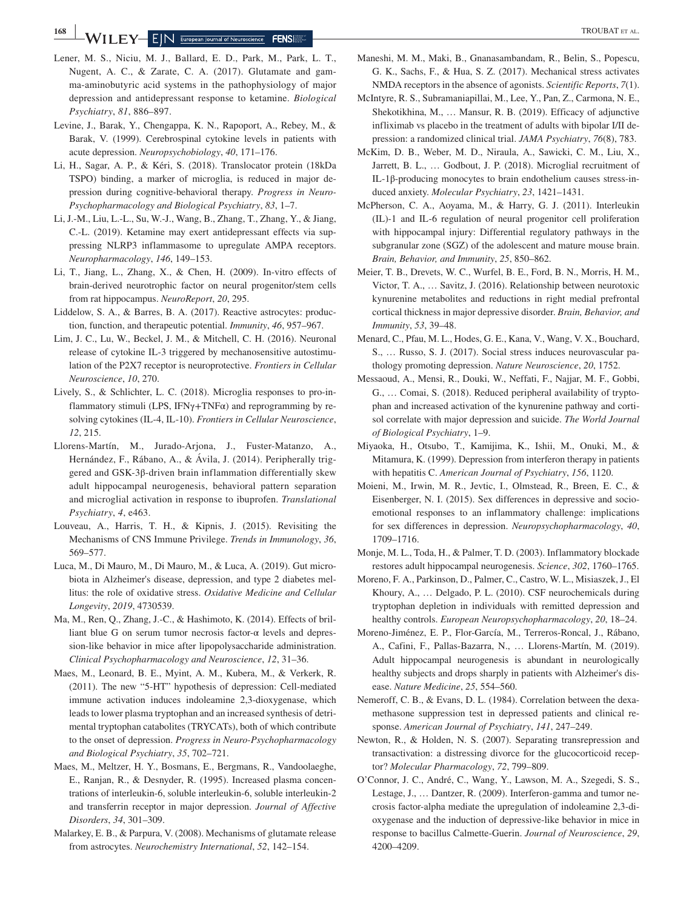- Lener, M. S., Niciu, M. J., Ballard, E. D., Park, M., Park, L. T., Nugent, A. C., & Zarate, C. A. (2017). Glutamate and gamma-aminobutyric acid systems in the pathophysiology of major depression and antidepressant response to ketamine. *Biological Psychiatry*, *81*, 886–897.
- Levine, J., Barak, Y., Chengappa, K. N., Rapoport, A., Rebey, M., & Barak, V. (1999). Cerebrospinal cytokine levels in patients with acute depression. *Neuropsychobiology*, *40*, 171–176.
- Li, H., Sagar, A. P., & Kéri, S. (2018). Translocator protein (18kDa TSPO) binding, a marker of microglia, is reduced in major depression during cognitive-behavioral therapy. *Progress in Neuro-Psychopharmacology and Biological Psychiatry*, *83*, 1–7.
- Li, J.-M., Liu, L.-L., Su, W.-J., Wang, B., Zhang, T., Zhang, Y., & Jiang, C.-L. (2019). Ketamine may exert antidepressant effects via suppressing NLRP3 inflammasome to upregulate AMPA receptors. *Neuropharmacology*, *146*, 149–153.
- Li, T., Jiang, L., Zhang, X., & Chen, H. (2009). In-vitro effects of brain-derived neurotrophic factor on neural progenitor/stem cells from rat hippocampus. *NeuroReport*, *20*, 295.
- Liddelow, S. A., & Barres, B. A. (2017). Reactive astrocytes: production, function, and therapeutic potential. *Immunity*, *46*, 957–967.
- Lim, J. C., Lu, W., Beckel, J. M., & Mitchell, C. H. (2016). Neuronal release of cytokine IL-3 triggered by mechanosensitive autostimulation of the P2X7 receptor is neuroprotective. *Frontiers in Cellular Neuroscience*, *10*, 270.
- Lively, S., & Schlichter, L. C. (2018). Microglia responses to pro-inflammatory stimuli (LPS, IFN $\gamma$ +TNF $\alpha$ ) and reprogramming by resolving cytokines (IL-4, IL-10). *Frontiers in Cellular Neuroscience*, *12*, 215.
- Llorens-Martín, M., Jurado-Arjona, J., Fuster-Matanzo, A., Hernández, F., Rábano, A., & Ávila, J. (2014). Peripherally triggered and GSK-3β-driven brain inflammation differentially skew adult hippocampal neurogenesis, behavioral pattern separation and microglial activation in response to ibuprofen. *Translational Psychiatry*, *4*, e463.
- Louveau, A., Harris, T. H., & Kipnis, J. (2015). Revisiting the Mechanisms of CNS Immune Privilege. *Trends in Immunology*, *36*, 569–577.
- Luca, M., Di Mauro, M., Di Mauro, M., & Luca, A. (2019). Gut microbiota in Alzheimer's disease, depression, and type 2 diabetes mellitus: the role of oxidative stress. *Oxidative Medicine and Cellular Longevity*, *2019*, 4730539.
- Ma, M., Ren, Q., Zhang, J.-C., & Hashimoto, K. (2014). Effects of brilliant blue G on serum tumor necrosis factor- $\alpha$  levels and depression-like behavior in mice after lipopolysaccharide administration. *Clinical Psychopharmacology and Neuroscience*, *12*, 31–36.
- Maes, M., Leonard, B. E., Myint, A. M., Kubera, M., & Verkerk, R. (2011). The new "5-HT" hypothesis of depression: Cell-mediated immune activation induces indoleamine 2,3-dioxygenase, which leads to lower plasma tryptophan and an increased synthesis of detrimental tryptophan catabolites (TRYCATs), both of which contribute to the onset of depression. *Progress in Neuro-Psychopharmacology and Biological Psychiatry*, *35*, 702–721.
- Maes, M., Meltzer, H. Y., Bosmans, E., Bergmans, R., Vandoolaeghe, E., Ranjan, R., & Desnyder, R. (1995). Increased plasma concentrations of interleukin-6, soluble interleukin-6, soluble interleukin-2 and transferrin receptor in major depression. *Journal of Affective Disorders*, *34*, 301–309.
- Malarkey, E. B., & Parpura, V. (2008). Mechanisms of glutamate release from astrocytes. *Neurochemistry International*, *52*, 142–154.
- Maneshi, M. M., Maki, B., Gnanasambandam, R., Belin, S., Popescu, G. K., Sachs, F., & Hua, S. Z. (2017). Mechanical stress activates NMDA receptors in the absence of agonists. *Scientific Reports*, *7*(1).
- McIntyre, R. S., Subramaniapillai, M., Lee, Y., Pan, Z., Carmona, N. E., Shekotikhina, M., … Mansur, R. B. (2019). Efficacy of adjunctive infliximab vs placebo in the treatment of adults with bipolar I/II depression: a randomized clinical trial. *JAMA Psychiatry*, *76*(8), 783.
- McKim, D. B., Weber, M. D., Niraula, A., Sawicki, C. M., Liu, X., Jarrett, B. L., … Godbout, J. P. (2018). Microglial recruitment of IL-1β-producing monocytes to brain endothelium causes stress-induced anxiety. *Molecular Psychiatry*, *23*, 1421–1431.
- McPherson, C. A., Aoyama, M., & Harry, G. J. (2011). Interleukin (IL)-1 and IL-6 regulation of neural progenitor cell proliferation with hippocampal injury: Differential regulatory pathways in the subgranular zone (SGZ) of the adolescent and mature mouse brain. *Brain, Behavior, and Immunity*, *25*, 850–862.
- Meier, T. B., Drevets, W. C., Wurfel, B. E., Ford, B. N., Morris, H. M., Victor, T. A., … Savitz, J. (2016). Relationship between neurotoxic kynurenine metabolites and reductions in right medial prefrontal cortical thickness in major depressive disorder. *Brain, Behavior, and Immunity*, *53*, 39–48.
- Menard, C., Pfau, M. L., Hodes, G. E., Kana, V., Wang, V. X., Bouchard, S., … Russo, S. J. (2017). Social stress induces neurovascular pathology promoting depression. *Nature Neuroscience*, *20*, 1752.
- Messaoud, A., Mensi, R., Douki, W., Neffati, F., Najjar, M. F., Gobbi, G., … Comai, S. (2018). Reduced peripheral availability of tryptophan and increased activation of the kynurenine pathway and cortisol correlate with major depression and suicide. *The World Journal of Biological Psychiatry*, 1–9.
- Miyaoka, H., Otsubo, T., Kamijima, K., Ishii, M., Onuki, M., & Mitamura, K. (1999). Depression from interferon therapy in patients with hepatitis C. *American Journal of Psychiatry*, *156*, 1120.
- Moieni, M., Irwin, M. R., Jevtic, I., Olmstead, R., Breen, E. C., & Eisenberger, N. I. (2015). Sex differences in depressive and socioemotional responses to an inflammatory challenge: implications for sex differences in depression. *Neuropsychopharmacology*, *40*, 1709–1716.
- Monje, M. L., Toda, H., & Palmer, T. D. (2003). Inflammatory blockade restores adult hippocampal neurogenesis. *Science*, *302*, 1760–1765.
- Moreno, F. A., Parkinson, D., Palmer, C., Castro, W. L., Misiaszek, J., El Khoury, A., … Delgado, P. L. (2010). CSF neurochemicals during tryptophan depletion in individuals with remitted depression and healthy controls. *European Neuropsychopharmacology*, *20*, 18–24.
- Moreno-Jiménez, E. P., Flor-García, M., Terreros-Roncal, J., Rábano, A., Cafini, F., Pallas-Bazarra, N., … Llorens-Martín, M. (2019). Adult hippocampal neurogenesis is abundant in neurologically healthy subjects and drops sharply in patients with Alzheimer's disease. *Nature Medicine*, *25*, 554–560.
- Nemeroff, C. B., & Evans, D. L. (1984). Correlation between the dexamethasone suppression test in depressed patients and clinical response. *American Journal of Psychiatry*, *141*, 247–249.
- Newton, R., & Holden, N. S. (2007). Separating transrepression and transactivation: a distressing divorce for the glucocorticoid receptor? *Molecular Pharmacology*, *72*, 799–809.
- O'Connor, J. C., André, C., Wang, Y., Lawson, M. A., Szegedi, S. S., Lestage, J., … Dantzer, R. (2009). Interferon-gamma and tumor necrosis factor-alpha mediate the upregulation of indoleamine 2,3-dioxygenase and the induction of depressive-like behavior in mice in response to bacillus Calmette-Guerin. *Journal of Neuroscience*, *29*, 4200–4209.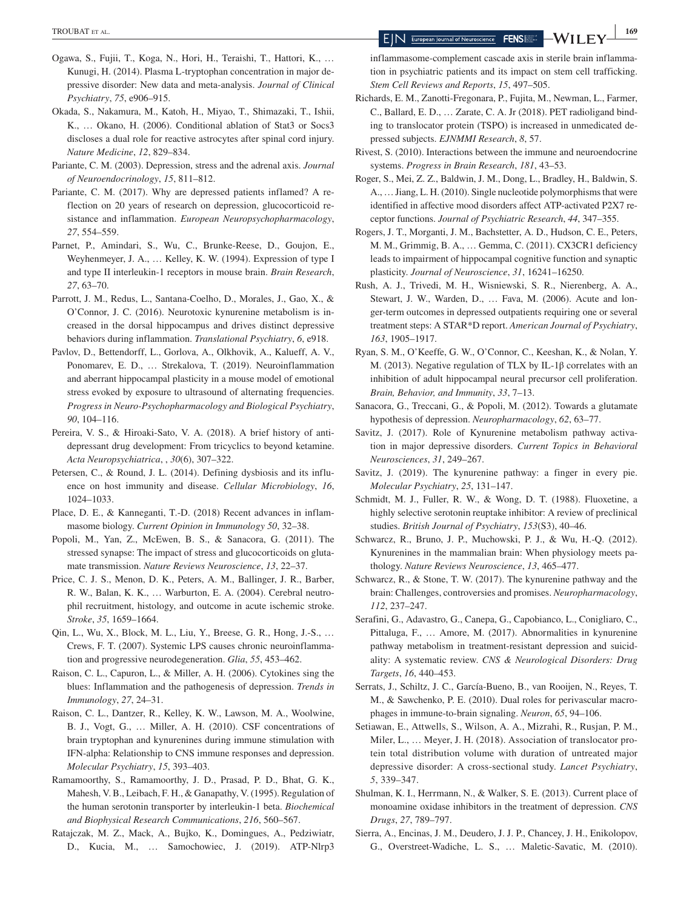- Ogawa, S., Fujii, T., Koga, N., Hori, H., Teraishi, T., Hattori, K., … Kunugi, H. (2014). Plasma L-tryptophan concentration in major depressive disorder: New data and meta-analysis. *Journal of Clinical Psychiatry*, *75*, e906–915.
- Okada, S., Nakamura, M., Katoh, H., Miyao, T., Shimazaki, T., Ishii, K., … Okano, H. (2006). Conditional ablation of Stat3 or Socs3 discloses a dual role for reactive astrocytes after spinal cord injury. *Nature Medicine*, *12*, 829–834.
- Pariante, C. M. (2003). Depression, stress and the adrenal axis. *Journal of Neuroendocrinology*, *15*, 811–812.
- Pariante, C. M. (2017). Why are depressed patients inflamed? A reflection on 20 years of research on depression, glucocorticoid resistance and inflammation. *European Neuropsychopharmacology*, *27*, 554–559.
- Parnet, P., Amindari, S., Wu, C., Brunke-Reese, D., Goujon, E., Weyhenmeyer, J. A., … Kelley, K. W. (1994). Expression of type I and type II interleukin-1 receptors in mouse brain. *Brain Research*, *27*, 63–70.
- Parrott, J. M., Redus, L., Santana-Coelho, D., Morales, J., Gao, X., & O'Connor, J. C. (2016). Neurotoxic kynurenine metabolism is increased in the dorsal hippocampus and drives distinct depressive behaviors during inflammation. *Translational Psychiatry*, *6*, e918.
- Pavlov, D., Bettendorff, L., Gorlova, A., Olkhovik, A., Kalueff, A. V., Ponomarev, E. D., … Strekalova, T. (2019). Neuroinflammation and aberrant hippocampal plasticity in a mouse model of emotional stress evoked by exposure to ultrasound of alternating frequencies. *Progress in Neuro-Psychopharmacology and Biological Psychiatry*, *90*, 104–116.
- Pereira, V. S., & Hiroaki-Sato, V. A. (2018). A brief history of antidepressant drug development: From tricyclics to beyond ketamine. *Acta Neuropsychiatrica*, , *30*(6), 307–322.
- Petersen, C., & Round, J. L. (2014). Defining dysbiosis and its influence on host immunity and disease. *Cellular Microbiology*, *16*, 1024–1033.
- Place, D. E., & Kanneganti, T.-D. (2018) Recent advances in inflammasome biology. *Current Opinion in Immunology 50*, 32–38.
- Popoli, M., Yan, Z., McEwen, B. S., & Sanacora, G. (2011). The stressed synapse: The impact of stress and glucocorticoids on glutamate transmission. *Nature Reviews Neuroscience*, *13*, 22–37.
- Price, C. J. S., Menon, D. K., Peters, A. M., Ballinger, J. R., Barber, R. W., Balan, K. K., … Warburton, E. A. (2004). Cerebral neutrophil recruitment, histology, and outcome in acute ischemic stroke. *Stroke*, *35*, 1659–1664.
- Qin, L., Wu, X., Block, M. L., Liu, Y., Breese, G. R., Hong, J.-S., … Crews, F. T. (2007). Systemic LPS causes chronic neuroinflammation and progressive neurodegeneration. *Glia*, *55*, 453–462.
- Raison, C. L., Capuron, L., & Miller, A. H. (2006). Cytokines sing the blues: Inflammation and the pathogenesis of depression. *Trends in Immunology*, *27*, 24–31.
- Raison, C. L., Dantzer, R., Kelley, K. W., Lawson, M. A., Woolwine, B. J., Vogt, G., … Miller, A. H. (2010). CSF concentrations of brain tryptophan and kynurenines during immune stimulation with IFN-alpha: Relationship to CNS immune responses and depression. *Molecular Psychiatry*, *15*, 393–403.
- Ramamoorthy, S., Ramamoorthy, J. D., Prasad, P. D., Bhat, G. K., Mahesh, V. B., Leibach, F. H., & Ganapathy, V. (1995). Regulation of the human serotonin transporter by interleukin-1 beta. *Biochemical and Biophysical Research Communications*, *216*, 560–567.
- Ratajczak, M. Z., Mack, A., Bujko, K., Domingues, A., Pedziwiatr, D., Kucia, M., … Samochowiec, J. (2019). ATP-Nlrp3

inflammasome-complement cascade axis in sterile brain inflammation in psychiatric patients and its impact on stem cell trafficking. *Stem Cell Reviews and Reports*, *15*, 497–505.

- Richards, E. M., Zanotti-Fregonara, P., Fujita, M., Newman, L., Farmer, C., Ballard, E. D., … Zarate, C. A. Jr (2018). PET radioligand binding to translocator protein (TSPO) is increased in unmedicated depressed subjects. *EJNMMI Research*, *8*, 57.
- Rivest, S. (2010). Interactions between the immune and neuroendocrine systems. *Progress in Brain Research*, *181*, 43–53.
- Roger, S., Mei, Z. Z., Baldwin, J. M., Dong, L., Bradley, H., Baldwin, S. A., … Jiang, L. H. (2010). Single nucleotide polymorphisms that were identified in affective mood disorders affect ATP-activated P2X7 receptor functions. *Journal of Psychiatric Research*, *44*, 347–355.
- Rogers, J. T., Morganti, J. M., Bachstetter, A. D., Hudson, C. E., Peters, M. M., Grimmig, B. A., … Gemma, C. (2011). CX3CR1 deficiency leads to impairment of hippocampal cognitive function and synaptic plasticity. *Journal of Neuroscience*, *31*, 16241–16250.
- Rush, A. J., Trivedi, M. H., Wisniewski, S. R., Nierenberg, A. A., Stewart, J. W., Warden, D., … Fava, M. (2006). Acute and longer-term outcomes in depressed outpatients requiring one or several treatment steps: A STAR\*D report. *American Journal of Psychiatry*, *163*, 1905–1917.
- Ryan, S. M., O'Keeffe, G. W., O'Connor, C., Keeshan, K., & Nolan, Y. M. (2013). Negative regulation of TLX by IL-1β correlates with an inhibition of adult hippocampal neural precursor cell proliferation. *Brain, Behavior, and Immunity*, *33*, 7–13.
- Sanacora, G., Treccani, G., & Popoli, M. (2012). Towards a glutamate hypothesis of depression. *Neuropharmacology*, *62*, 63–77.
- Savitz, J. (2017). Role of Kynurenine metabolism pathway activation in major depressive disorders. *Current Topics in Behavioral Neurosciences*, *31*, 249–267.
- Savitz, J. (2019). The kynurenine pathway: a finger in every pie. *Molecular Psychiatry*, *25*, 131–147.
- Schmidt, M. J., Fuller, R. W., & Wong, D. T. (1988). Fluoxetine, a highly selective serotonin reuptake inhibitor: A review of preclinical studies. *British Journal of Psychiatry*, *153*(S3), 40–46.
- Schwarcz, R., Bruno, J. P., Muchowski, P. J., & Wu, H.-Q. (2012). Kynurenines in the mammalian brain: When physiology meets pathology. *Nature Reviews Neuroscience*, *13*, 465–477.
- Schwarcz, R., & Stone, T. W. (2017). The kynurenine pathway and the brain: Challenges, controversies and promises. *Neuropharmacology*, *112*, 237–247.
- Serafini, G., Adavastro, G., Canepa, G., Capobianco, L., Conigliaro, C., Pittaluga, F., … Amore, M. (2017). Abnormalities in kynurenine pathway metabolism in treatment-resistant depression and suicidality: A systematic review. *CNS & Neurological Disorders: Drug Targets*, *16*, 440–453.
- Serrats, J., Schiltz, J. C., García-Bueno, B., van Rooijen, N., Reyes, T. M., & Sawchenko, P. E. (2010). Dual roles for perivascular macrophages in immune-to-brain signaling. *Neuron*, *65*, 94–106.
- Setiawan, E., Attwells, S., Wilson, A. A., Mizrahi, R., Rusjan, P. M., Miler, L., … Meyer, J. H. (2018). Association of translocator protein total distribution volume with duration of untreated major depressive disorder: A cross-sectional study. *Lancet Psychiatry*, *5*, 339–347.
- Shulman, K. I., Herrmann, N., & Walker, S. E. (2013). Current place of monoamine oxidase inhibitors in the treatment of depression. *CNS Drugs*, *27*, 789–797.
- Sierra, A., Encinas, J. M., Deudero, J. J. P., Chancey, J. H., Enikolopov, G., Overstreet-Wadiche, L. S., … Maletic-Savatic, M. (2010).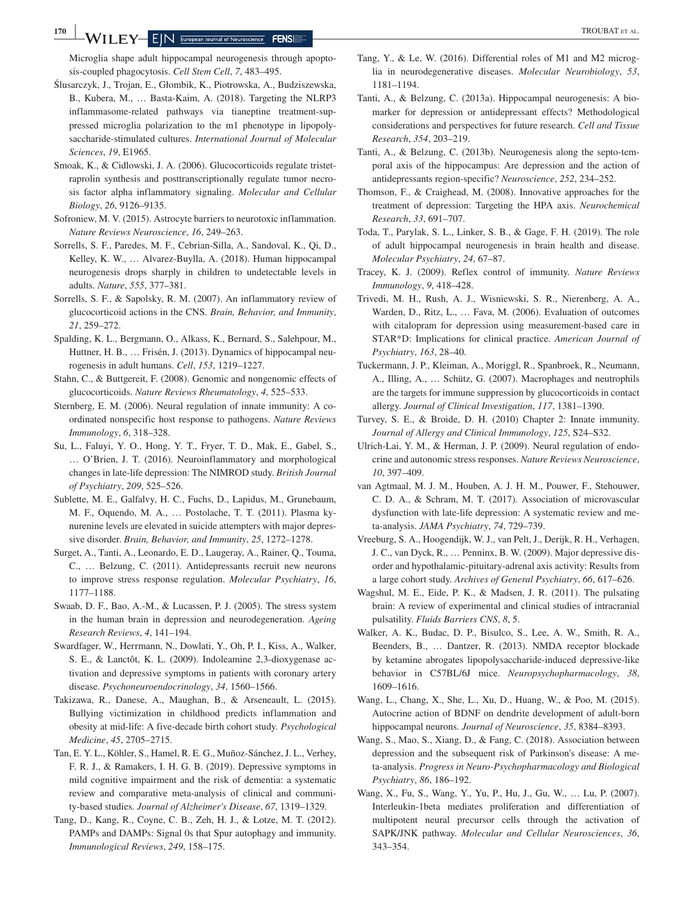Microglia shape adult hippocampal neurogenesis through apoptosis-coupled phagocytosis. *Cell Stem Cell*, *7*, 483–495.

- Ślusarczyk, J., Trojan, E., Głombik, K., Piotrowska, A., Budziszewska, B., Kubera, M., … Basta-Kaim, A. (2018). Targeting the NLRP3 inflammasome-related pathways via tianeptine treatment-suppressed microglia polarization to the m1 phenotype in lipopolysaccharide-stimulated cultures. *International Journal of Molecular Sciences*, *19*, E1965.
- Smoak, K., & Cidlowski, J. A. (2006). Glucocorticoids regulate tristetraprolin synthesis and posttranscriptionally regulate tumor necrosis factor alpha inflammatory signaling. *Molecular and Cellular Biology*, *26*, 9126–9135.
- Sofroniew, M. V. (2015). Astrocyte barriers to neurotoxic inflammation. *Nature Reviews Neuroscience*, *16*, 249–263.
- Sorrells, S. F., Paredes, M. F., Cebrian-Silla, A., Sandoval, K., Qi, D., Kelley, K. W., … Alvarez-Buylla, A. (2018). Human hippocampal neurogenesis drops sharply in children to undetectable levels in adults. *Nature*, *555*, 377–381.
- Sorrells, S. F., & Sapolsky, R. M. (2007). An inflammatory review of glucocorticoid actions in the CNS. *Brain, Behavior, and Immunity*, *21*, 259–272.
- Spalding, K. L., Bergmann, O., Alkass, K., Bernard, S., Salehpour, M., Huttner, H. B., … Frisén, J. (2013). Dynamics of hippocampal neurogenesis in adult humans. *Cell*, *153*, 1219–1227.
- Stahn, C., & Buttgereit, F. (2008). Genomic and nongenomic effects of glucocorticoids. *Nature Reviews Rheumatology*, *4*, 525–533.
- Sternberg, E. M. (2006). Neural regulation of innate immunity: A coordinated nonspecific host response to pathogens. *Nature Reviews Immunology*, *6*, 318–328.
- Su, L., Faluyi, Y. O., Hong, Y. T., Fryer, T. D., Mak, E., Gabel, S., … O'Brien, J. T. (2016). Neuroinflammatory and morphological changes in late-life depression: The NIMROD study. *British Journal of Psychiatry*, *209*, 525–526.
- Sublette, M. E., Galfalvy, H. C., Fuchs, D., Lapidus, M., Grunebaum, M. F., Oquendo, M. A., … Postolache, T. T. (2011). Plasma kynurenine levels are elevated in suicide attempters with major depressive disorder. *Brain, Behavior, and Immunity*, *25*, 1272–1278.
- Surget, A., Tanti, A., Leonardo, E. D., Laugeray, A., Rainer, Q., Touma, C., … Belzung, C. (2011). Antidepressants recruit new neurons to improve stress response regulation. *Molecular Psychiatry*, *16*, 1177–1188.
- Swaab, D. F., Bao, A.-M., & Lucassen, P. J. (2005). The stress system in the human brain in depression and neurodegeneration. *Ageing Research Reviews*, *4*, 141–194.
- Swardfager, W., Herrmann, N., Dowlati, Y., Oh, P. I., Kiss, A., Walker, S. E., & Lanctôt, K. L. (2009). Indoleamine 2,3-dioxygenase activation and depressive symptoms in patients with coronary artery disease. *Psychoneuroendocrinology*, *34*, 1560–1566.
- Takizawa, R., Danese, A., Maughan, B., & Arseneault, L. (2015). Bullying victimization in childhood predicts inflammation and obesity at mid-life: A five-decade birth cohort study. *Psychological Medicine*, *45*, 2705–2715.
- Tan, E. Y. L., Köhler, S., Hamel, R. E. G., Muñoz-Sánchez, J. L., Verhey, F. R. J., & Ramakers, I. H. G. B. (2019). Depressive symptoms in mild cognitive impairment and the risk of dementia: a systematic review and comparative meta-analysis of clinical and community-based studies. *Journal of Alzheimer's Disease*, *67*, 1319–1329.
- Tang, D., Kang, R., Coyne, C. B., Zeh, H. J., & Lotze, M. T. (2012). PAMPs and DAMPs: Signal 0s that Spur autophagy and immunity. *Immunological Reviews*, *249*, 158–175.
- Tang, Y., & Le, W. (2016). Differential roles of M1 and M2 microglia in neurodegenerative diseases. *Molecular Neurobiology*, *53*, 1181–1194.
- Tanti, A., & Belzung, C. (2013a). Hippocampal neurogenesis: A biomarker for depression or antidepressant effects? Methodological considerations and perspectives for future research. *Cell and Tissue Research*, *354*, 203–219.
- Tanti, A., & Belzung, C. (2013b). Neurogenesis along the septo-temporal axis of the hippocampus: Are depression and the action of antidepressants region-specific? *Neuroscience*, *252*, 234–252.
- Thomson, F., & Craighead, M. (2008). Innovative approaches for the treatment of depression: Targeting the HPA axis. *Neurochemical Research*, *33*, 691–707.
- Toda, T., Parylak, S. L., Linker, S. B., & Gage, F. H. (2019). The role of adult hippocampal neurogenesis in brain health and disease. *Molecular Psychiatry*, *24*, 67–87.
- Tracey, K. J. (2009). Reflex control of immunity. *Nature Reviews Immunology*, *9*, 418–428.
- Trivedi, M. H., Rush, A. J., Wisniewski, S. R., Nierenberg, A. A., Warden, D., Ritz, L., .., Fava, M. (2006). Evaluation of outcomes with citalopram for depression using measurement-based care in STAR\*D: Implications for clinical practice. *American Journal of Psychiatry*, *163*, 28–40.
- Tuckermann, J. P., Kleiman, A., Moriggl, R., Spanbroek, R., Neumann, A., Illing, A., … Schütz, G. (2007). Macrophages and neutrophils are the targets for immune suppression by glucocorticoids in contact allergy. *Journal of Clinical Investigation*, *117*, 1381–1390.
- Turvey, S. E., & Broide, D. H. (2010) Chapter 2: Innate immunity. *Journal of Allergy and Clinical Immunology*, *125*, S24–S32.
- Ulrich-Lai, Y. M., & Herman, J. P. (2009). Neural regulation of endocrine and autonomic stress responses. *Nature Reviews Neuroscience*, *10*, 397–409.
- van Agtmaal, M. J. M., Houben, A. J. H. M., Pouwer, F., Stehouwer, C. D. A., & Schram, M. T. (2017). Association of microvascular dysfunction with late-life depression: A systematic review and meta-analysis. *JAMA Psychiatry*, *74*, 729–739.
- Vreeburg, S. A., Hoogendijk, W. J., van Pelt, J., Derijk, R. H., Verhagen, J. C., van Dyck, R., … Penninx, B. W. (2009). Major depressive disorder and hypothalamic-pituitary-adrenal axis activity: Results from a large cohort study. *Archives of General Psychiatry*, *66*, 617–626.
- Wagshul, M. E., Eide, P. K., & Madsen, J. R. (2011). The pulsating brain: A review of experimental and clinical studies of intracranial pulsatility. *Fluids Barriers CNS*, *8*, 5.
- Walker, A. K., Budac, D. P., Bisulco, S., Lee, A. W., Smith, R. A., Beenders, B., … Dantzer, R. (2013). NMDA receptor blockade by ketamine abrogates lipopolysaccharide-induced depressive-like behavior in C57BL/6J mice. *Neuropsychopharmacology*, *38*, 1609–1616.
- Wang, L., Chang, X., She, L., Xu, D., Huang, W., & Poo, M. (2015). Autocrine action of BDNF on dendrite development of adult-born hippocampal neurons. *Journal of Neuroscience*, *35*, 8384–8393.
- Wang, S., Mao, S., Xiang, D., & Fang, C. (2018). Association between depression and the subsequent risk of Parkinson's disease: A meta-analysis. *Progress in Neuro-Psychopharmacology and Biological Psychiatry*, *86*, 186–192.
- Wang, X., Fu, S., Wang, Y., Yu, P., Hu, J., Gu, W., … Lu, P. (2007). Interleukin-1beta mediates proliferation and differentiation of multipotent neural precursor cells through the activation of SAPK/JNK pathway. *Molecular and Cellular Neurosciences*, *36*, 343–354.